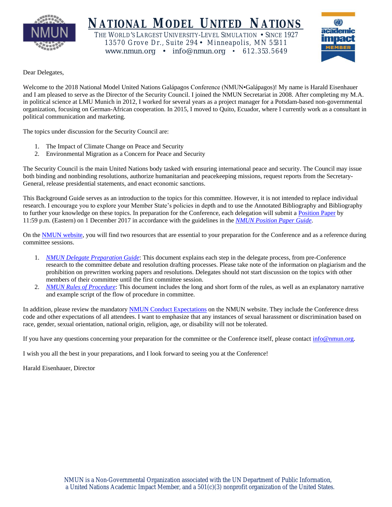

# **NATIONAL MODEL UNITED NATIONS**

THE WORLD'S LARGEST UNIVERSITY-LEVEL SIMULATION • SINCE 1927 13570 Grove Dr., Suite 294 • Minneapolis, MN 55311 www.nmun.org • info@nmun.org • 612.353.5649



Dear Delegates,

Welcome to the 2018 National Model United Nations Galápagos Conference (NMUN•Galápagos)! My name is Harald Eisenhauer and I am pleased to serve as the Director of the Security Council. I joined the NMUN Secretariat in 2008. After completing my M.A. in political science at LMU Munich in 2012, I worked for several years as a project manager for a Potsdam-based non-governmental organization, focusing on German-African cooperation. In 2015, I moved to Quito, Ecuador, where I currently work as a consultant in political communication and marketing.

The topics under discussion for the Security Council are:

- 1. The Impact of Climate Change on Peace and Security
- 2. Environmental Migration as a Concern for Peace and Security

The Security Council is the main United Nations body tasked with ensuring international peace and security. The Council may issue both binding and nonbinding resolutions, authorize humanitarian and peacekeeping missions, request reports from the Secretary-General, release presidential statements, and enact economic sanctions.

This Background Guide serves as an introduction to the topics for this committee. However, it is not intended to replace individual research. I encourage you to explore your Member State's policies in depth and to use the Annotated Bibliography and Bibliography to further your knowledge on these topics. In preparation for the Conference, each delegation will submit a [Position Paper](http://www.nmun.org/galapagos18_position_papers.html) by 11:59 p.m. (Eastern) on 1 December 2017 in accordance with the guidelines in the *[NMUN Position Paper Guide](http://nmun.org/downloads/NMUNPPGuide.pdf)*.

On the [NMUN website,](http://www.nmun.org/galapagos18_preparations.html) you will find two resources that are essential to your preparation for the Conference and as a reference during committee sessions.

- 1. *[NMUN Delegate Preparation Guide](http://nmun.org/downloads/NMUNDelegatePrepGuide.pdf)*: This document explains each step in the delegate process, from pre-Conference research to the committee debate and resolution drafting processes. Please take note of the information on plagiarism and the prohibition on prewritten working papers and resolutions. Delegates should not start discussion on the topics with other members of their committee until the first committee session.
- 2. *[NMUN Rules of Procedure](http://nmun.org/downloads/NMUNRules.pdf)*: This document includes the long and short form of the rules, as well as an explanatory narrative and example script of the flow of procedure in committee.

In addition, please review the mandatory [NMUN Conduct](http://nmun.org/policies_codes.html) Expectations on the NMUN website. They include the Conference dress code and other expectations of all attendees. I want to emphasize that any instances of sexual harassment or discrimination based on race, gender, sexual orientation, national origin, religion, age, or disability will not be tolerated.

If you have any questions concerning your preparation for the committee or the Conference itself, please contact [info@nmun.org.](mailto:info@nmun.org)

I wish you all the best in your preparations, and I look forward to seeing you at the Conference!

Harald Eisenhauer, Director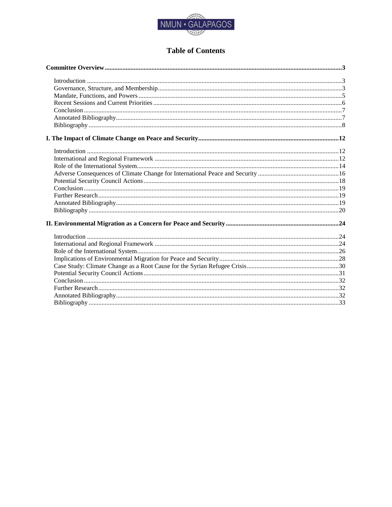

# **Table of Contents**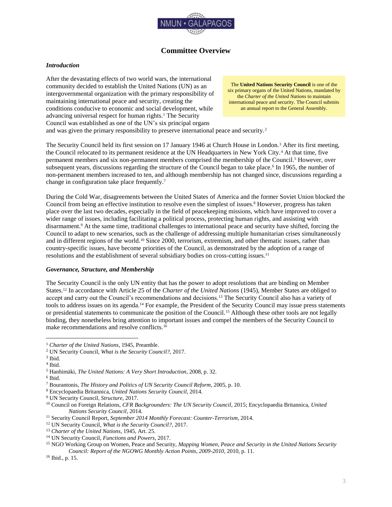

# **Committee Overview**

#### <span id="page-2-1"></span><span id="page-2-0"></span>*Introduction*

After the devastating effects of two world wars, the international community decided to establish the United Nations (UN) as an intergovernmental organization with the primary responsibility of maintaining international peace and security, creating the conditions conducive to economic and social development, while advancing universal respect for human rights.<sup>1</sup> The Security Council was established as one of the UN's six principal organs

The **United Nations Security Council** is one of the six primary organs of the United Nations, mandated by the *Charter of the United Nations* to maintain international peace and security. The Council submits an annual report to the General Assembly.

and was given the primary responsibility to preserve international peace and security.<sup>2</sup>

The Security Council held its first session on 17 January 1946 at Church House in London.<sup>3</sup> After its first meeting, the Council relocated to its permanent residence at the UN Headquarters in New York City.<sup>4</sup> At that time, five permanent members and six non-permanent members comprised the membership of the Council.<sup>5</sup> However, over subsequent years, discussions regarding the structure of the Council began to take place.<sup>6</sup> In 1965, the number of non-permanent members increased to ten, and although membership has not changed since, discussions regarding a change in configuration take place frequently.<sup>7</sup>

During the Cold War, disagreements between the United States of America and the former Soviet Union blocked the Council from being an effective institution to resolve even the simplest of issues.<sup>8</sup> However, progress has taken place over the last two decades, especially in the field of peacekeeping missions, which have improved to cover a wider range of issues, including facilitating a political process, protecting human rights, and assisting with disarmament.<sup>9</sup> At the same time, traditional challenges to international peace and security have shifted, forcing the Council to adapt to new scenarios, such as the challenge of addressing multiple humanitarian crises simultaneously and in different regions of the world.<sup>10</sup> Since 2000, terrorism, extremism, and other thematic issues, rather than country-specific issues, have become priorities of the Council, as demonstrated by the adoption of a range of resolutions and the establishment of several subsidiary bodies on cross-cutting issues.<sup>11</sup>

#### <span id="page-2-2"></span>*Governance, Structure, and Membership*

The Security Council is the only UN entity that has the power to adopt resolutions that are binding on Member States.<sup>12</sup> In accordance with Article 25 of the *Charter of the United Nations* (1945), Member States are obliged to accept and carry out the Council's recommendations and decisions.<sup>13</sup> The Security Council also has a variety of tools to address issues on its agenda.<sup>14</sup> For example, the President of the Security Council may issue press statements or presidential statements to communicate the position of the Council.<sup>15</sup> Although these other tools are not legally binding, they nonetheless bring attention to important issues and compel the members of the Security Council to make recommendations and resolve conflicts.<sup>16</sup>

<sup>1</sup> *Charter of the United Nations*, 1945, Preamble.

<sup>2</sup> UN Security Council, *What is the Security Council?*, 2017.

<sup>3</sup> Ibid.

<sup>4</sup> Ibid.

<sup>5</sup> Hanhimäki, *The United Nations: A Very Short Introduction*, 2008, p. 32.

<sup>6</sup> Ibid.

<sup>7</sup> Bourantonis, *The History and Politics of UN Security Council Reform*, 2005, p. 10.

<sup>8</sup> Encyclopaedia Britannica, *United Nations Security Council*, 2014.

<sup>9</sup> UN Security Council, *Structure*, 2017.

<sup>10</sup> Council on Foreign Relations, *CFR Backgrounders: The UN Security Council*, 2015; Encyclopaedia Britannica, *United Nations Security Council*, 2014.

<sup>11</sup> Security Council Report, *September 2014 Monthly Forecast: Counter-Terrorism*, 2014.

<sup>12</sup> UN Security Council, *What is the Security Council?*, 2017.

<sup>13</sup> *Charter of the United Nations*, 1945, Art. 25.

<sup>14</sup> UN Security Council, *Functions and Powers*, 2017.

<sup>15</sup> NGO Working Group on Women, Peace and Security, *Mapping Women, Peace and Security in the United Nations Security Council: Report of the NGOWG Monthly Action Points, 2009-2010*, 2010, p. 11.

<sup>16</sup> Ibid., p. 15.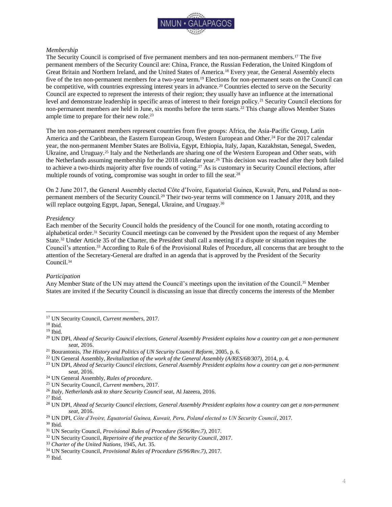

#### *Membership*

The Security Council is comprised of five permanent members and ten non-permanent members.<sup>17</sup> The five permanent members of the Security Council are: China, France, the Russian Federation, the United Kingdom of Great Britain and Northern Ireland, and the United States of America.<sup>18</sup> Every year, the General Assembly elects five of the ten non-permanent members for a two-year term.<sup>19</sup> Elections for non-permanent seats on the Council can be competitive, with countries expressing interest years in advance.<sup>20</sup> Countries elected to serve on the Security Council are expected to represent the interests of their region; they usually have an influence at the international level and demonstrate leadership in specific areas of interest to their foreign policy.<sup>21</sup> Security Council elections for non-permanent members are held in June, six months before the term starts.<sup>22</sup> This change allows Member States ample time to prepare for their new role.<sup>23</sup>

The ten non-permanent members represent countries from five groups: Africa, the Asia-Pacific Group, Latin America and the Caribbean, the Eastern European Group, Western European and Other.<sup>24</sup> For the 2017 calendar year, the non-permanent Member States are Bolivia, Egypt, Ethiopia, Italy, Japan, Kazakhstan, Senegal, Sweden, Ukraine, and Uruguay.<sup>25</sup> Italy and the Netherlands are sharing one of the Western European and Other seats, with the Netherlands assuming membership for the 2018 calendar year.<sup>26</sup> This decision was reached after they both failed to achieve a two-thirds majority after five rounds of voting.<sup>27</sup> As is customary in Security Council elections, after multiple rounds of voting, compromise was sought in order to fill the seat.<sup>28</sup>

On 2 June 2017, the General Assembly elected Côte d'Ivoire, Equatorial Guinea, Kuwait, Peru, and Poland as nonpermanent members of the Security Council.<sup>29</sup> Their two-year terms will commence on 1 January 2018, and they will replace outgoing Egypt, Japan, Senegal, Ukraine, and Uruguay.<sup>30</sup>

#### *Presidency*

Each member of the Security Council holds the presidency of the Council for one month, rotating according to alphabetical order.<sup>31</sup> Security Council meetings can be convened by the President upon the request of any Member State.<sup>32</sup> Under Article 35 of the Charter, the President shall call a meeting if a dispute or situation requires the Council's attention.<sup>33</sup> According to Rule 6 of the Provisional Rules of Procedure, all concerns that are brought to the attention of the Secretary-General are drafted in an agenda that is approved by the President of the Security Council.<sup>34</sup>

#### *Participation*

Any Member State of the UN may attend the Council's meetings upon the invitation of the Council.<sup>35</sup> Member States are invited if the Security Council is discussing an issue that directly concerns the interests of the Member

<sup>17</sup> UN Security Council, *Current members*, 2017.

<sup>18</sup> Ibid.

<sup>19</sup> Ibid.

<sup>20</sup> UN DPI, *Ahead of Security Council elections, General Assembly President explains how a country can get a non-permanent seat*, 2016.

<sup>21</sup> Bourantonis, *The History and Politics of UN Security Council Reform*, 2005, p. 6.

<sup>22</sup> UN General Assembly, *Revitalization of the work of the General Assembly (A/RES/68/307),* 2014, p. 4.

<sup>23</sup> UN DPI, *Ahead of Security Council elections, General Assembly President explains how a country can get a non-permanent seat*, 2016.

<sup>24</sup> UN General Assembly, *Rules of procedure*.

<sup>25</sup> UN Security Council, *Current members*, 2017.

<sup>26</sup> *Italy, Netherlands ask to share Security Council seat*, Al Jazeera, 2016.

<sup>27</sup> Ibid.

<sup>28</sup> UN DPI, *Ahead of Security Council elections, General Assembly President explains how a country can get a non-permanent seat*, 2016.

<sup>29</sup> UN DPI, *Côte d'Ivoire, Equatorial Guinea, Kuwait, Peru, Poland elected to UN Security Council*, 2017.

<sup>30</sup> Ibid.

<sup>31</sup> UN Security Council, *Provisional Rules of Procedure (S/96/Rev.7)*, 2017.

<sup>32</sup> UN Security Council, *Repertoire of the practice of the Security Council*, 2017.

<sup>33</sup> *Charter of the United Nations*, 1945, Art. 35.

<sup>34</sup> UN Security Council, *Provisional Rules of Procedure (S/96/Rev.7)*, 2017.

<sup>35</sup> Ibid.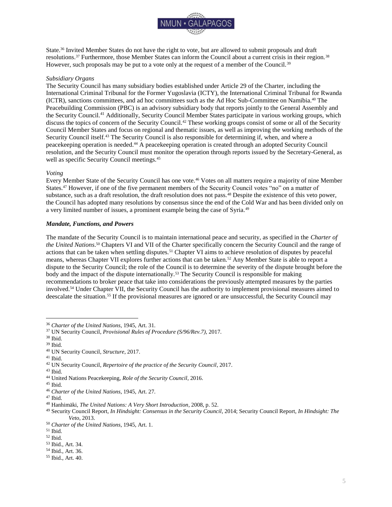

State.<sup>36</sup> Invited Member States do not have the right to vote, but are allowed to submit proposals and draft resolutions.<sup>37</sup> Furthermore, those Member States can inform the Council about a current crisis in their region.<sup>38</sup> However, such proposals may be put to a vote only at the request of a member of the Council.<sup>39</sup>

#### *Subsidiary Organs*

The Security Council has many subsidiary bodies established under Article 29 of the Charter, including the International Criminal Tribunal for the Former Yugoslavia (ICTY), the International Criminal Tribunal for Rwanda (ICTR), sanctions committees, and ad hoc committees such as the Ad Hoc Sub-Committee on Namibia.<sup>40</sup> The Peacebuilding Commission (PBC) is an advisory subsidiary body that reports jointly to the General Assembly and the Security Council.<sup>41</sup> Additionally, Security Council Member States participate in various working groups, which discuss the topics of concern of the Security Council.<sup>42</sup> These working groups consist of some or all of the Security Council Member States and focus on regional and thematic issues, as well as improving the working methods of the Security Council itself.<sup>43</sup> The Security Council is also responsible for determining if, when, and where a peacekeeping operation is needed.<sup>44</sup> A peacekeeping operation is created through an adopted Security Council resolution, and the Security Council must monitor the operation through reports issued by the Secretary-General, as well as specific Security Council meetings.<sup>45</sup>

#### *Voting*

Every Member State of the Security Council has one vote.<sup>46</sup> Votes on all matters require a majority of nine Member States.<sup>47</sup> However, if one of the five permanent members of the Security Council votes "no" on a matter of substance, such as a draft resolution, the draft resolution does not pass.<sup>48</sup> Despite the existence of this veto power, the Council has adopted many resolutions by consensus since the end of the Cold War and has been divided only on a very limited number of issues, a prominent example being the case of Syria.<sup>49</sup>

#### <span id="page-4-0"></span>*Mandate, Functions, and Powers*

The mandate of the Security Council is to maintain international peace and security, as specified in the *Charter of the United Nations*. <sup>50</sup> Chapters VI and VII of the Charter specifically concern the Security Council and the range of actions that can be taken when settling disputes.<sup>51</sup> Chapter VI aims to achieve resolution of disputes by peaceful means, whereas Chapter VII explores further actions that can be taken.<sup>52</sup> Any Member State is able to report a dispute to the Security Council; the role of the Council is to determine the severity of the dispute brought before the body and the impact of the dispute internationally.<sup>53</sup> The Security Council is responsible for making recommendations to broker peace that take into considerations the previously attempted measures by the parties involved.<sup>54</sup> Under Chapter VII, the Security Council has the authority to implement provisional measures aimed to deescalate the situation.<sup>55</sup> If the provisional measures are ignored or are unsuccessful, the Security Council may

- $^{\rm 43}$  Ibid.
- <sup>44</sup> United Nations Peacekeeping, *Role of the Security Council*, 2016.
- $^{45}$  Ibid.

<sup>36</sup> *Charter of the United Nations*, 1945, Art. 31.

<sup>37</sup> UN Security Council, *Provisional Rules of Procedure (S/96/Rev.7)*, 2017.

<sup>38</sup> Ibid.

<sup>39</sup> Ibid.

<sup>40</sup> UN Security Council, *Structure*, 2017.

<sup>41</sup> Ibid.

<sup>42</sup> UN Security Council, *Repertoire of the practice of the Security Council*, 2017.

<sup>46</sup> *Charter of the United Nations*, 1945, Art. 27.

<sup>47</sup> Ibid.

<sup>48</sup> Hanhimäki, *The United Nations: A Very Short Introduction*, 2008, p. 52.

<sup>49</sup> Security Council Report, *In Hindsight: Consensus in the Security Council*, 2014; Security Council Report, *In Hindsight: The Veto*, 2013.

<sup>50</sup> *Charter of the United Nations*, 1945, Art. 1.

<sup>51</sup> Ibid.

<sup>52</sup> Ibid.

<sup>53</sup> Ibid., Art. 34.

<sup>54</sup> Ibid., Art. 36.

<sup>55</sup> Ibid., Art. 40.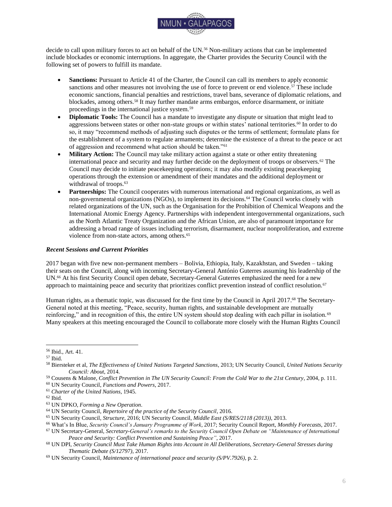

decide to call upon military forces to act on behalf of the UN.<sup>56</sup> Non-military actions that can be implemented include blockades or economic interruptions. In aggregate, the Charter provides the Security Council with the following set of powers to fulfill its mandate.

- **Sanctions:** Pursuant to Article 41 of the Charter, the Council can call its members to apply economic sanctions and other measures not involving the use of force to prevent or end violence.<sup>57</sup> These include economic sanctions, financial penalties and restrictions, travel bans, severance of diplomatic relations, and blockades, among others.<sup>58</sup> It may further mandate arms embargos, enforce disarmament, or initiate proceedings in the international justice system.<sup>59</sup>
- **Diplomatic Tools:** The Council has a mandate to investigate any dispute or situation that might lead to aggressions between states or other non-state groups or within states' national territories.<sup>60</sup> In order to do so, it may "recommend methods of adjusting such disputes or the terms of settlement; formulate plans for the establishment of a system to regulate armaments; determine the existence of a threat to the peace or act of aggression and recommend what action should be taken."<sup>61</sup>
- **Military Action:** The Council may take military action against a state or other entity threatening international peace and security and may further decide on the deployment of troops or observers.<sup>62</sup> The Council may decide to initiate peacekeeping operations; it may also modify existing peacekeeping operations through the extension or amendment of their mandates and the additional deployment or withdrawal of troops.<sup>63</sup>
- **Partnerships:** The Council cooperates with numerous international and regional organizations, as well as non-governmental organizations (NGOs), to implement its decisions.<sup>64</sup> The Council works closely with related organizations of the UN, such as the Organisation for the Prohibition of Chemical Weapons and the International Atomic Energy Agency. Partnerships with independent intergovernmental organizations, such as the North Atlantic Treaty Organization and the African Union, are also of paramount importance for addressing a broad range of issues including terrorism, disarmament, nuclear nonproliferation, and extreme violence from non-state actors, among others.<sup>65</sup>

#### <span id="page-5-0"></span>*Recent Sessions and Current Priorities*

2017 began with five new non-permanent members – Bolivia, Ethiopia, Italy, Kazakhstan, and Sweden – taking their seats on the Council, along with incoming Secretary-General António Guterres assuming his leadership of the UN.<sup>66</sup> At his first Security Council open debate, Secretary-General Guterres emphasized the need for a new approach to maintaining peace and security that prioritizes conflict prevention instead of conflict resolution.<sup>67</sup>

Human rights, as a thematic topic, was discussed for the first time by the Council in April 2017.<sup>68</sup> The Secretary-General noted at this meeting, "Peace, security, human rights, and sustainable development are mutually reinforcing," and in recognition of this, the entire UN system should stop dealing with each pillar in isolation.<sup>69</sup> Many speakers at this meeting encouraged the Council to collaborate more closely with the Human Rights Council

- <sup>59</sup> Cousens & Malone, *Conflict Prevention in The UN Security Council: From the Cold War to the 21st Century*, 2004, p. 111.
- <sup>60</sup> UN Security Council, *Functions and Powers*, 2017.

<sup>56</sup> Ibid., Art. 41.

<sup>57</sup> Ibid.

<sup>58</sup> Biersteker et al, *The Effectiveness of United Nations Targeted Sanctions*, 2013; UN Security Council, *United Nations Security Council: About*, 2014.

<sup>61</sup> *Charter of the United Nations*, 1945.

 $62$  Ibid.

<sup>63</sup> UN DPKO, *Forming a New Operation*.

<sup>64</sup> UN Security Council, *Repertoire of the practice of the Security Council*, 2016.

<sup>65</sup> UN Security Council, *Structure,* 2016; UN Security Council, *Middle East (S/RES/2118 (2013))*, 2013.

<sup>66</sup> What's In Blue, *Security Council's January Programme of Work*, 2017; Security Council Report, *Monthly Forecasts*, 2017.

<sup>67</sup> UN Secretary-General, *Secretary-General's remarks to the Security Council Open Debate on "Maintenance of International Peace and Security: Conflict Prevention and Sustaining Peace"*, 2017.

<sup>68</sup> UN DPI, *Security Council Must Take Human Rights into Account in All Deliberations, Secretary-General Stresses during Thematic Debate (S/12797)*, 2017.

<sup>69</sup> UN Security Council, *Maintenance of international peace and security (S/PV.7926)*, p. 2.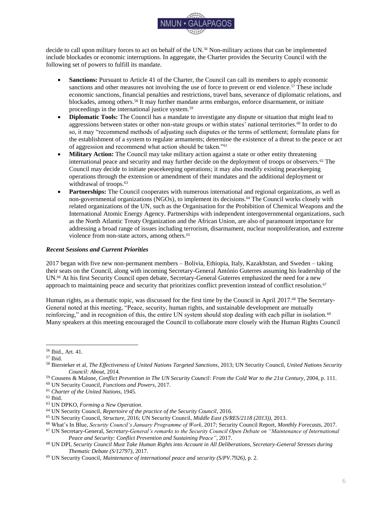

and the Office of the UN High Commissioner for Human Rights, but disagreement ensued on the degree to which human rights questions should be addressed by the Security Council.<sup>70</sup>

Throughout the summer of 2017, the Council addressed overall threats to international peace and security, including landmines and terrorism, as well as country-specific situations.<sup>71</sup> On 10 July 2017, the Council decided to establish the United Nations Verification Mission in Colombia, which will begin its work in September to support the implementation of the Final Agreement between the Colombian government and the Revolutionary Armed Forces of Colombia (FARC-EP). <sup>72</sup> On 5 August 2017, in response to repeated testing of ballistic missiles, the Council strengthened the existing sanctions regime against the Democratic People's Republic of Korea (DPRK), including by prohibiting the export of coal, iron, iron ore, seafood, lead, and lead ore to other countries.<sup>73</sup> The Council also called for the resumption of the Six-Party Talks between the DPRK, China, Japan, the Republic of Korea, the Russian Federation, and the United States, with the goal of achieving "the verifiable denuclearization of the Korean Peninsula in a peaceful manner."<sup>74</sup>

#### <span id="page-6-0"></span>*Conclusion*

As the international community faces increasing asymmetrical and non-traditional threats to international peace and security, the Security Council has evolved by devising new working methods and holding broader, more open discussions.<sup>75</sup> Nonetheless, the persistence of ongoing threats indicates significant challenges to the Security Council's ability to guarantee peace and security in all regions of the world.<sup>76</sup> These situations also represent the systemic and political divides between Council members, particularly with respect to the five permanent members.<sup>77</sup> However, as the Security Council represents the only body within the UN that has the power to adopt binding resolutions, it is still the entity of utmost importance for the maintenance of international peace and security.<sup>78</sup>

## **Annotated Bibliography**

<span id="page-6-1"></span>*Charter of the United Nations*. (1945). Retrieved 26 July 2017 from: <http://www.un.org/en/documents/charter/index.shtml>

> *As the fundamental principles of the Security Council are written down in the Charter of the UN, this document should be the first resource to consider. Article 23, which sets the membership structure and articles 23 to 26, which discuss its basic functions and powers, are of particular importance for understanding both the structure and function of the Security Council. In addition, articles 27 to 32 explain the Council's voting procedure and its overall structure. The Charter can be particularly helpful for delegates in understanding the powers and limitations of the body. Delegates will find Chapters VI and VII most helpful when researching the mandate of the Security Council, and also while at the conference simulating the body.*

Council on Foreign Relations. (2013). *CFR Backgrounders: The UN Security Council* [Website]. Retrieved 26 July 2017 from:<http://www.cfr.org/international-organizations-and-alliances/un-security-council/p31649>

*The Council on Foreign Relations provides a comprehensive introduction into the structure and work of the Security Council and therefore constitutes a good starting point for more detailed research. The website discusses the Council's powers and possibilities in taking coercive actions* 

<sup>70</sup> UN DPI, *Security Council Must Take Human Rights into Account in All Deliberations, Secretary-General Stresses during Thematic Debate (S/12797)*, 2017.

<sup>71</sup> UN Security Council, *Maintenance of international peace and security: Mine action (S/RES/2365 (2017))*, 2017; UN Security Council, *Threats to international peace and security caused by terrorist acts (S/RES/2368 (2017))*, 2017; UN Security Council, *Threats to international peace and security caused by terrorist acts – Preventing terrorists from acquiring weapons (S/RES/2370 (2017))*, 2017; UN Security Council, *Meeting Records*, 2017.

<sup>72</sup> UN Security Council, *Identical letters dated 19 January 2016 from the Permanent Representative of Colombia to the United Nations addressed to the Secretary-General and the President of the Security Council (S/2016/53) (S/RES/2366 (2017))*, 2017.

<sup>73</sup> UN Security Council, *Non-proliferation/Democratic People's Republic of Korea (S/RES/2371 (2017))*.

<sup>74</sup> Ibid., p. 6.

<sup>75</sup> UN Security Council, *Structure,* 2017; UN Security Council, *1540 Committee*, 2017.

<sup>76</sup> Security Council Report, *September 2014 Monthly Forecast – Syria*, 2014.

<sup>77</sup> Security Council Report, *The Permanent Members and the Use of the Veto: An Abridged History*, 2013.

<sup>78</sup> *Charter of the United Nations*, 1945, art. 24.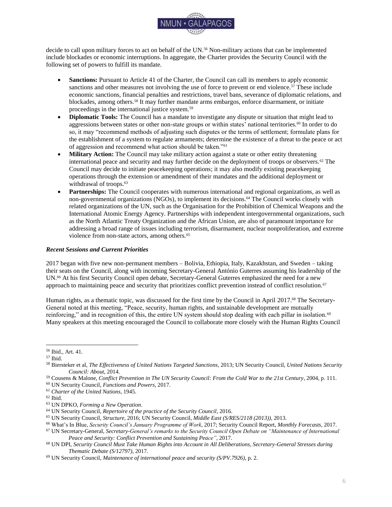

*and addresses broadly discussed issues as criticism to the Security Council's structure as well as possible reforms. In addition, the website contains links on further resources on the Security Council and recent international security issues as, for example, the Global Governance Monitor, which evaluates the international regime for armed conflict.*

Cousens, E., & Malone, D. (2004). Conflict Prevention, *The UN Security Council: From the Cold War to the 21st Century.* Boulder, Colorado: Lynne Rienner Publishers, Inc.

*This volume provides readers with a very detailed overview of the Security Council and its past and present challenges. Written on a high academic level, this book touches upon many of the Council's themes, institutions, and operations, while also explaining the Council's structure in depth. As it discusses major operations on four continents, the document can be a useful tool for detailed analysis on various international security crises.*

Hanhimäki, J. M. (2008). *The United Nations: A Very Short Introduction*, New York, New York: Oxford University Press.

*While giving a brief overview of the history, structure, mandate and perspective of the UN in general, this volume also includes a comprehensive section on the Security Council, as well as a separate chapter on peacekeeping and peacebuilding. The book offers a succinct explanation of the Council's political and operational constraints, including the veto power principle. It further provides delegates with a general overview of the importance of the Security Council for international security from its creation until now. Due to its comprehensive language, this book may serve delegates as a first starting point for further research on the Security Council as well as on international power relations.*

Security Council Report. (2017). *Monthly Forecasts* [Website]. Retrieved 28 August 2017 from: <http://www.securitycouncilreport.org/monthly-forecast/>

*The Security Council Report website provides monthly forecasts that describe the Security Council's meetings and program of work as expected for the upcoming month. The website is updated regularly to reflect the current agenda of the Security Council. Delegates will also find links to UN source documents on this website, which will be helpful during their research.* 

United Nations, Security Council. (2017). *What is the Security Council?* [Website]. Retrieved 26 July 2017 from: <http://www.un.org/en/sc/about>

*This website gives an overview of the Security Council's history, its mandate, and its basic functions and powers. It should be considered one of the most important resources and a foundation for delegates' further research, since it provides detailed information on how the Security Council works in practice. The website contains the body's provisional rules of procedure and a section on frequently asked questions. The latter is particularly useful when it comes to understanding the Council's functions and powers. Delegates will find on this website detailed information about the Council's recent sessions as well as other worth noting outputs.* 

## **Bibliography**

<span id="page-7-0"></span>Biersteker, T., et al. (2014). *The Effectiveness of United Nations Targeted Sanctions*. Retrieved 26 July 2017 from: [http://graduateinstitute.ch/files/live/sites/iheid/files/sites/internationalgovernance/shared/Effectiveness%20of%20U](http://graduateinstitute.ch/files/live/sites/iheid/files/sites/internationalgovernance/shared/Effectiveness%20of%20UN%20Targeted%20Sanctions%20-%206.Nov.2013%20.pdf) [N%20Targeted%20Sanctions%20-%206.Nov.2013%20.pdf](http://graduateinstitute.ch/files/live/sites/iheid/files/sites/internationalgovernance/shared/Effectiveness%20of%20UN%20Targeted%20Sanctions%20-%206.Nov.2013%20.pdf)

Bourantonis, D. (2005). *The History and Politics of UN Security Council Reform*. New York, New York: Routledge.

*Charter of the United Nations*. (1945). Retrieved 26 July 2017 from: <http://www.un.org/en/documents/charter/index.shtml>

Council on Foreign Relations. (2015). *CFR Backgrounders: The UN Security Council*. Retrieved 26 July 2017 from: <http://www.cfr.org/international-organizations-and-alliances/un-security-council/p31649>

Cousens, E., & D. Malone. (2004). *The UN Security Council: From the Cold War to the 21st Century*. Boulder, Colorado: Lynne Rienner Publishers, Inc.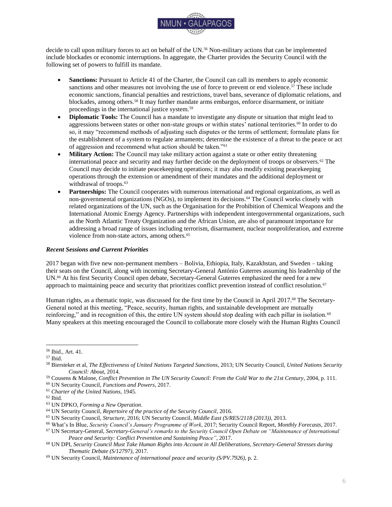

Encyclopaedia Britannica. (2014). *United Nations Security Council* [Website]. Retrieved 26 July 2017 from: <http://www.britannica.com/EBchecked/topic/532070/United-Nations-Security-Council>

Hanhimäki, J. (2008). *The United Nations: A Very Short Introduction*. New York, New York: Oxford University Press.

*Italy, Netherlands ask to share Security Council seat.* (2016, June 28). Al Jazeera. Retrieved 26 July 2017 from: [http://www.aljazeera.com/news/2016/06/bolivia-ethiopia-sweden-win-seats-security-council-](http://www.aljazeera.com/news/2016/06/bolivia-ethiopia-sweden-win-seats-security-council-160628161225583.html)[160628161225583.html](http://www.aljazeera.com/news/2016/06/bolivia-ethiopia-sweden-win-seats-security-council-160628161225583.html)

NGO Working Group on Women, Peace and Security. (2010). *Mapping Women, Peace and Security in the UN Security Council: Report of the NGOWG Monthly Action Points, 2009-2010*. Retrieved 26 July 2017 from: [http://peacewomen.org/sites/default/files/NGOWG%20Report\\_Mapping%201325\\_October%202010.pdf](http://peacewomen.org/sites/default/files/NGOWG%20Report_Mapping%201325_October%202010.pdf)

Security Council Report. (2013). *In Hindsight: The Veto* [Website]. Retrieved 26 July 2017 from: [http://www.securitycouncilreport.org/monthly-forecast/2013-11/in\\_hindsight\\_the\\_veto.php](http://www.securitycouncilreport.org/monthly-forecast/2013-11/in_hindsight_the_veto.php)

Security Council Report. (2013). *The Permanent Members and the Use of the Veto: An Abridged History.* Retrieved 26 July 2017 from: [http://www.securitycouncilreport.org/atf/cf/%7B65BFCF9B-6D27-4E9C-8CD3-](http://www.securitycouncilreport.org/atf/cf/%7B65BFCF9B-6D27-4E9C-8CD3-CF6E4FF96FF9%7D/SCR-veto-insert-2.pdf) [CF6E4FF96FF9%7D/SCR-veto-insert-2.pdf](http://www.securitycouncilreport.org/atf/cf/%7B65BFCF9B-6D27-4E9C-8CD3-CF6E4FF96FF9%7D/SCR-veto-insert-2.pdf)

Security Council Report. (2014). *In Hindsight: Consensus in the Security Council* [Website]. Retrieved 26 July 2017 from: [http://www.securitycouncilreport.org/monthly-forecast/2014-](http://www.securitycouncilreport.org/monthly-forecast/2014-01/in_hindsight_consensus_in_the_security_council.php)  $01/in$  hindsight consensus in the security council.php

Security Council Report. (2014). *September 2014 Monthly Forecast – Counter Terrorism* [Website]. Retrieved 26 July 2017 from: [http://www.securitycouncilreport.org/monthly-forecast/2014-09/counter-terrorism\\_5.php](http://www.securitycouncilreport.org/monthly-forecast/2014-09/counter-terrorism_5.php)

Security Council Report. (2014). *September 2014 Monthly Forecast – Syria* [Website]. Retrieved 26 July 2017 from[: http://www.securitycouncilreport.org/monthly-forecast/2014-09/syria\\_11.php](http://www.securitycouncilreport.org/monthly-forecast/2014-09/syria_11.php)

Security Council Report. (2016, December 28). *January 2017 Monthly Forecast* [Website]. Retrieved 26 July 2017 from[: http://www.securitycouncilreport.org/monthly-forecast/2017-](http://www.securitycouncilreport.org/monthly-forecast/2017-01/un_office_for_west_africa_and_the_sahel.php) [01/un\\_office\\_for\\_west\\_africa\\_and\\_the\\_sahel.php](http://www.securitycouncilreport.org/monthly-forecast/2017-01/un_office_for_west_africa_and_the_sahel.php)

Security Council Report. (2017). *Monthly Forecasts* [Website]. Retrieved 28 August 2017 from: <http://www.securitycouncilreport.org/monthly-forecast/>

United Nations, Department of Peacekeeping Operations. (n.d.). *Forming a new operation* [Website]. Retrieved 26 July 2017 from:<http://www.un.org/en/peacekeeping/operations/newoperation.shtml>

United Nations, Department of Public Information. (2016, June 27). *Ahead of Security Council elections, General Assembly President explains how a country can get a non-permanent seat* [News Article]. Retrieved 26 July 2017 from[: http://www.un.org/apps/news/story.asp?NewsID=54339](http://www.un.org/apps/news/story.asp?NewsID=54339)

United Nations, Department of Public Information. (2017, June 2). *Côte d'Ivoire, Equatorial Guinea, Kuwait, Peru, Poland elected to UN Security Council* [News Article]. Retrieved 28 August 2017 from: <http://www.un.org/apps/news/story.asp?NewsID=56894>

United Nations, Department of Public Information. (2017, April 18). *Security Council Must Take Human Rights into Account in All Deliberations, Secretary-General Stresses during Thematic Debate (S/12797)* [Press Release]. Retrieved 17 June 2017 from:<https://www.un.org/press/en/2017/sc12797.doc.htm>

United Nations, General Assembly, Sixty-eighth session. (2014). *Revitalization of the work of the General Assembly (A/RES/68/307)* [Resolution]. Retrieved 26 July 2017 from:<http://undocs.org/A/RES/68/307>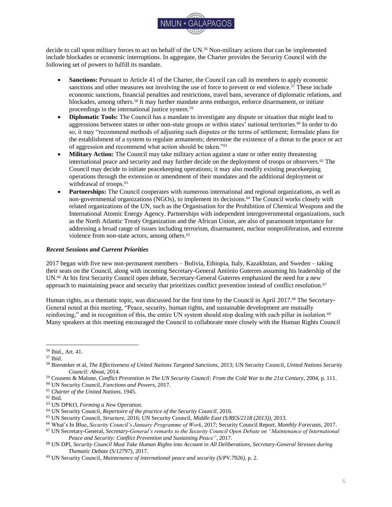

United Nations, General Assembly. (n.d.). *Rules of procedure* [Website]. Retrieved 26 July 2017 from: <http://www.un.org/en/ga/about/ropga/elect.shtml>

United Nations Peacekeeping. (2016). *Role of the Security Council* [Website]. Retrieved 26 July 2017 from: <http://www.un.org/en/peacekeeping/operations/rolesc.shtml>

United Nations, Secretary-General. (2017, January 10). *Secretary-General's remarks to the Security Council Open Debate on "Maintenance of International Peace and Security: Conflict Prevention and Sustaining Peace"*. Retrieved 17 June 2017 from: [https://www.un.org/sg/en/content/sg/statement/2017-01-10/secretary-generals](https://www.un.org/sg/en/content/sg/statement/2017-01-10/secretary-generals-remarks-security-council-open-debate-maintenance)[remarks-security-council-open-debate-maintenance](https://www.un.org/sg/en/content/sg/statement/2017-01-10/secretary-generals-remarks-security-council-open-debate-maintenance)

United Nations, Security Council. (2017). *1540 Committee* [Website]. Retrieved 26 July 2017 from: <http://www.un.org/en/sc/1540/>

United Nations, Security Council. (2017). *Current Members* [Website]. Retrieved 17 June 2017 from: <http://www.un.org/en/sc/members/>

United Nations, Security Council. (2017). *Functions and Powers* [Website]. Retrieved 17 June 2017 from: <http://www.un.org/en/sc/about/functions.shtml>

United Nations, Security Council. (2017). *Meeting Records* [Website]. Retrieved 28 August 2017 from: <https://www.un.org/en/sc/meetings/>

United Nations, Security Council. (2017). *Provisional Rules of Procedure (S/96/Rev.7)* [Website]. Retrieved 17 June 2017 from: <http://www.un.org/en/sc/about/rules/>

United Nations, Security Council. (2017). *Repertoire of the practice of the Security Council* [Website]. Retrieved 17 June 2017 from: [http://www.un.org/en/sc/repertoire/subsidiary\\_organs/working\\_groups.shtml](http://www.un.org/en/sc/repertoire/subsidiary_organs/working_groups.shtml)

United Nations, Security Council. (2017). *Structure* [Website]. Retrieved 17 June 2017 from: <http://www.un.org/en/sc/about/structure.shtml>

United Nations, Security Council. (2017). *What is the Security Council?* [Website]. Retrieved 17 June 2017 from: <http://www.un.org/en/sc/about/>

United Nations, Security Council, 7038th meeting. (2013). *Middle East (S/RES/2118 (2013))* [Resolution]. Retrieved 26 July 2017 from: [http://undocs.org/S/RES/2118\(2013\)](http://undocs.org/S/RES/2118(2013))

United Nations, Security Council, 7926th meeting. (2017, April 18). *Maintenance of international peace and security (S/PV.7926)* [Meeting Record]. Retrieved 17 June 2017 from:<http://www.undocs.org/S/PV.7926>

United Nations, Security Council, 7992nd meeting. (2017). *Maintenance of international peace and security: Mine action (S/RES/2365 (2017))* [Resolution]. Retrieved 28 August 2017 from: [http://undocs.org/S/RES/2365\(2017\)](http://undocs.org/S/RES/2365(2017))

United Nations, Security Council, 7997th meeting. (2017). *Identical letters dated 19 January 2016 from the Permanent Representative of Colombia to the United Nations addressed to the Secretary-General and the President of the Security Council (S/2016/53) (S/RES/2366 (2017))* [Resolution]. Retrieved 28 August 2017 from: [http://undocs.org/S/RES/2366\(2017\)](http://undocs.org/S/RES/2366(2017))

United Nations, Security Council, 8007th meeting. (2017). *Threats to international peace and security caused by terrorist acts (S/RES/2368 (2017))* [Resolution]. Retrieved 28 August 2017 from: [http://undocs.org/S/RES/2368\(2017\)](http://undocs.org/S/RES/2368(2017))

United Nations, Security Council, 8017th meeting. (2017). *Threats to international peace and security caused by terrorist acts – Preventing terrorists from acquiring weapons (S/RES/2370 (2017))* [Resolution]. Retrieved 28 August 2017 from: [http://undocs.org/S/RES/2370\(2017\)](http://undocs.org/S/RES/2370(2017))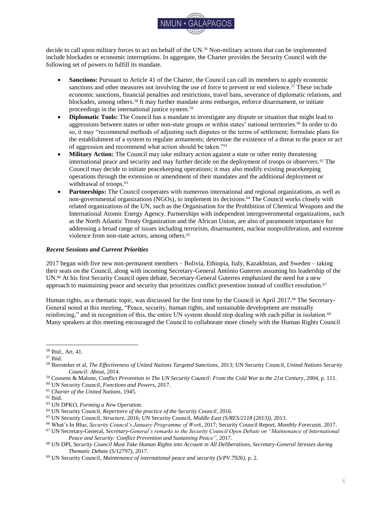

United Nations, Security Council, 8019th meeting. (2017). *Non-proliferation/Democratic People's Republic of Korea (S/RES/2371 (2017))* [Resolution]. Retrieved 28 August 2017 from: [http://undocs.org/S/RES/2371\(2017\)](http://undocs.org/S/RES/2371(2017))

What's In Blue. (2017, January 3). *Security Council's January Programme of Work* [Website]. Retrieved 17 June 2017 from:<http://www.whatsinblue.org/2017/01/security-councils-january-programme-of-work-1.php>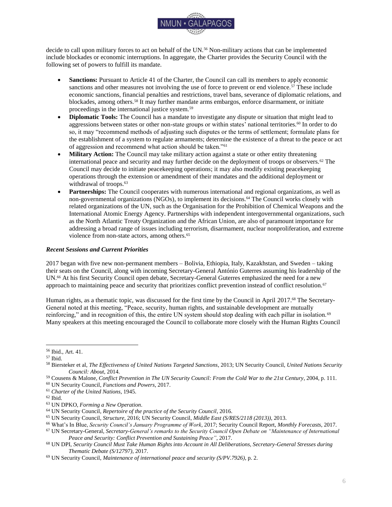

# **I. The Impact of Climate Change on Peace and Security**

<span id="page-11-0"></span>*"Climate change is real, and it is accelerating in a dangerous manner. It not only exacerbates threats to international peace and security, it is a threat to international peace and security."*<sup>79</sup>

#### <span id="page-11-1"></span>*Introduction*

It is widely recognized that events caused by climate change can have global security implications, as they may have consequences that affected states and societies are unable to mitigate.<sup>80</sup> The United Nations (UN) Department of Economic and Social Affairs recently included a warning in its 2017 *Sustainable Development Goals Report* about the profound global impact of climate change:

"Global temperatures continued to increase in 2016, setting a new record of about 1.1 degrees Celsius above the pre-industrial period. The extent of global sea ice fell to 4.14 million square [kilometers] in 2016, the second lowest on record. Atmospheric CO2 levels reached 400 parts per million. Drought conditions predominated across much of the globe…. In addition to rising sea levels and global temperatures, extreme weather events are becoming more common and natural habitats such as coral reefs are declining. These changes affect people everywhere, but disproportionately harm the poorest and the most vulnerable."<sup>81</sup>

Since 2007, the UN Security Council has discussed the implications of climate change for peace and security on several occasions.<sup>82</sup> Nevertheless, it has so far not come to definitive conclusions or decisions to respond directly to climate change as an independent threat to international security.<sup>83</sup> Instead, the Council has primarily assumed a position of a "non-response strategy," meaning that it avoids a direct response to climate change, yet continues to decide upon related phenomena, such as civil war, desertification, or natural disasters.<sup>84</sup>

This Background Guide will provide an overview of the origins and current state of the debate regarding the possibility of the UN Security Council assuming an active stance towards climate change. It will first shed light on the international framework for global climate policy by referring to key international documents and treaties. The next section will then show how key actors on the level of the international system are currently working to tackle the climate change-security nexus. This will include recent historical context on how the Security Council and its Member States have approached the problem. The actual scope of the problem of climate change and its potential implications for peace and security are at the focus of the next section. Finally, to guide delegates in their policy deliberations, there will be a discussion of the Security Council's opportunities for action.

#### <span id="page-11-2"></span>*International and Regional Framework*

The following paragraphs will provide background on key international documents and agreements that manifest the linkage of global climate policy with peace and security. The *Charter of the United Nations* (1945) does not make an explicit reference to the protection of the environment or global climate policy; it does, however, state as a fundamental purpose of the organization "to take collective measures for the prevention and removal of threats to the peace."<sup>85</sup> The supreme organ responsible for the maintenance of international peace and security, according to the Charter, is the Security Council.<sup>86</sup> The Council "may investigate any dispute, or any situation" that might pose a danger to international peace and security, and can add any traditional and non-traditional topics (including topics related to climate change, for example) to its agenda.<sup>87</sup> Chapters VI, VII, and VIII of the Charter determine several paths of action the Council may take, including investigation, diplomacy, sanctions, and even military action.<sup>88</sup>

<sup>79</sup> UN Secretary-General Ban Ki-moon, in: UN Security Council, *Maintenance of international peace and security: Impact of climate change (S/PV.6587)*, 2011, p. 2.

<sup>80</sup> Mobjörk et al., *Climate-Related Security Risks: Towards an Integrated Approach*, 2016, pp. 25-55.

<sup>81</sup> UN DESA, *The Sustainable Development Goals Report 2017*, 2017, p. 44.

<sup>82</sup> Mobjörk et al., *Climate-Related Security Risks: Towards an Integrated Approach*, 2016, pp. 28-29.

<sup>83</sup> Ibid., p. 28.

<sup>84</sup> Ibid.

<sup>85</sup> *Charter of the United Nations*, 1945, Art. 1.

<sup>86</sup> Ibid., Art. 24.

<sup>87</sup> Ibid., Art. 34.

<sup>88</sup> Ibid., Chapters VI-VIII.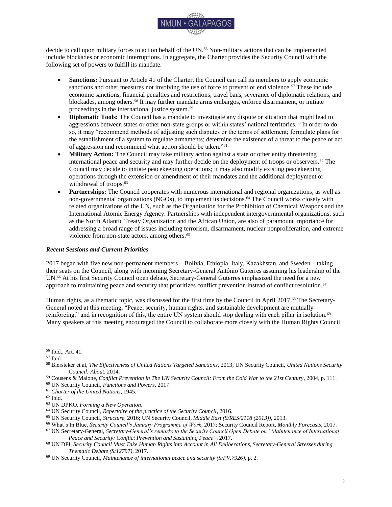

The Charter also served as foundation for the discussions at the groundbreaking 1992 Earth Summit in Rio de Janeiro, which sought to enhance international cooperation on global environmental and climate policy.<sup>89</sup> Principle two of the *Rio Declaration on Environment and Development* (1992) confirms that, while states have the "sovereign right to exploit their own resources," thanks to the Charter and the principles of international law, they must "ensure that activities within their jurisdiction or control do not cause damage to the environment of other States or of areas beyond the limits of national jurisdiction."<sup>90</sup> This no-harm principle, widely considered as the "foundation of international environmental law," also guided the establishment of the *United Nations Framework Convention on Climate Change* (UNFCCC) as the primary international forum for global climate policy in 1992.<sup>91</sup> The UNFCCC's main objective is the "stabilization of greenhouse gas concentrations in the atmosphere at a level that would prevent dangerous anthropogenic interference with the climate system."<sup>92</sup> Through mechanisms enshrined in the *Paris Agreement* (2015), which effectively succeeded the *Kyoto Protocol* (1997) and entered into force in November 2016, the parties to the UNFCCC have committed to nationally determined contributions to reduce greenhouse gas emissions, as well as to international financial and technological cooperation, to keep the global temperature rise from exceeding 2 degrees Celsius above pre-industrial levels.<sup>93</sup>

At the 2012 UN Conference on Sustainable Development (Rio+20), the international community underlined in *The Future We Want* that climate change "is a cross-cutting and persistent crisis" that "threaten[s] the viability and survival of nations."<sup>94</sup> Rising sea levels, in particular, pose a significant risk to small island developing states (SIDS) and "represent the gravest of threats to their survival and viability."<sup>95</sup> When it adopted the *2030 Agenda for Sustainable Development* (2015) with its 17 Sustainable Development Goals, the General Assembly reaffirmed in a similar statement that climate change "is one of the greatest challenges of our time" and that "the survival of many societies, and of the biological support systems of the planet, is at risk."<sup>96</sup>

It was also the General Assembly that prominently recognized climate change as a critical security issue in resolution 63/281 (2009), which invited the "relevant organs…to intensify their efforts in considering and addressing climate change, including its possible security implications."<sup>97</sup> Subsequently and as requested in resolution 63/281, UN Secretary-General Ban Ki-moon issued in 2009 a report on climate change and its possible security implications, which found that climate change acts as a "threat multiplier" for economic, social, and environmental problems, potentially aggravating already fragile situations.<sup>98</sup>

Parallel to the previously listed elements of the international framework that focus on state-level security implications of climate change, there is also "a growing recognition…of the mutual interdependence between the security of individuals and communities and the security of nation States."<sup>99</sup> This concept of human security is most influentially defined in the 1994 *Human Development Report* as "freedom from fear and freedom from want," as well as "safety from such chronic acts as hunger, disease and repression and … protection from sudden and hurtful disruptions in the patterns of daily life – whether in homes, jobs or communities."<sup>100</sup> A number of international bodies have over recent years worked towards making global security policy considerations more human-centered, and in those approaches the negative effects of climate change on human security play a prominent role.<sup>101</sup> The Intergovernmental Panel on Climate Change (IPCC), which serves as a scientific advisory body to the UNFCCC,

<sup>89</sup> Carlarne et al., *International Climate Change Law: Mapping the Field*, 2016, pp. 21-22.

<sup>90</sup> UN Conference on Environment and Development, *The Rio Declaration (A/CONF.151/26 (Vol. I))*, 1992, principle 2.

<sup>91</sup> Voigt, *Security in a "Warming World": Competences of the UN Security Council for Preventing Dangerous Climate Change*, 2009, p. 302.

<sup>92</sup> *United Nations Framework Convention on Climate Change*, 1992, art. 2.

<sup>93</sup> Conference of the Parties to the UNFCCC, *Paris Agreement (FCCC/CP/2015/10/Add.1)*, 2015, art. 2.

<sup>94</sup> UN General Assembly, *The Future We Want (A/RES/66/288)*, 2012, para 25.

<sup>95</sup> Ibid., paras. 25, 187.

<sup>96</sup> UN General Assembly, *Transforming our world: the 2030 Agenda for Sustainable Development (A/RES/70/1)*, 2015, p. 5.

<sup>97</sup> UN General Assembly, *Climate change and its possible security implications (A/RES/63/281)*, 2009, p. 2.

<sup>98</sup> UN General Assembly, *Climate change and its possible security implications: Report of the Secretary-General (A/64/350)*, 2009.

<sup>99</sup> Ibid., para. 6.

<sup>100</sup> UNDP, *Human Development Report 1994*, 1994, p. 23.

<sup>101</sup> Mason, *Climate change and human security: the international governance architectures, policies and instruments*, 2015.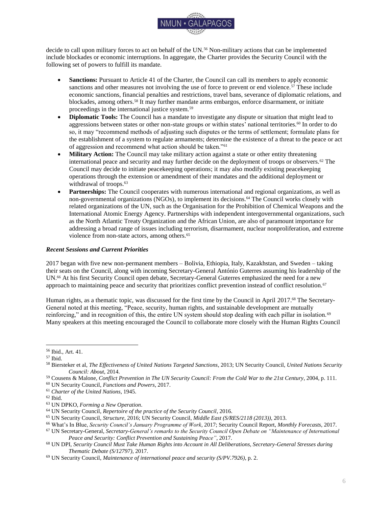

also bases its risk assessment on the paradigm of human security.<sup>102</sup> In its latest *Fifth Assessment Report* (2014), the IPCC cites evidence that "human security will be progressively threatened as the climate changes."<sup>103</sup>

Although they do not directly approach climate change as a threat for international peace and security, there are several other noteworthy international agreements. The 1982 *United Nations Convention on the Law of the Sea*  (UNCLOS) provides a "fairly comprehensive regime for the protection and preservation of the marine environment and the prevention, reduction, and control of marine pollution damage to other States."<sup>104</sup> Its provisions, though subject to varying legal interpretations, may become of increasing relevance for small island states and states with low-lying coastal areas as sea level rise and damage to marine ecosystems are direct threats caused by climate change.<sup>105</sup> The *Sendai Framework for Disaster Risk Reduction 2015-2030* (2015) must also be considered as a relevant document.<sup>106</sup> Adopted at the Third UN World Conference on Disaster Risk Reduction in Sendai, Japan, on March 18, 2015, it serves as an international accord to reduce risks stemming from disasters, "some of which have increased in intensity and have been exacerbated by climate change."<sup>107</sup> The framework avoids linkages to peace and security, and rather focuses on adaptation and resilience-building.<sup>108</sup>

#### <span id="page-13-0"></span>*Role of the International System*

Despite periodic consideration of the issue, the UN Security Council has yet to make any formal decisions on its role in addressing climate change or to adopt any resolutions that respond directly to climate change as a discrete threat to international peace and security.<sup>109</sup> The topic of climate change was first discussed during a debate convened in 2007 by the United Kingdom.<sup>110</sup> At the end of another debate in 2011, initiated by Germany, the Security Council unanimously adopted presidential statement 2011/15, which reaffirmed that the UNFCCC is the key instrument to address climate change, while also expressing the Council's concern "that possible adverse effects of climate change may, in the long run, aggravate certain existing threats to international peace and security."<sup>111</sup> Subsequent briefings, debates, and informal meetings on the topic took place in 2011, 2013, 2015, 2016, and 2017; however, they did not result in any formal Council decisions, and "the future of the Council's engagement with climate change [remains] uncertain."<sup>112</sup>

The Security Council's lack of action can be attributed to differing policies and standpoints regarding the securitization of climate policy.<sup>113</sup> SIDS argue that a stronger role for the Security Council is both within its mandate and necessary to address the problem.<sup>114</sup> Many SIDS face existential and security threats due to rising sea levels, which makes them, for example in the form of the Alliance of Small Island States (AOSIS), one of the loudest voices to call for global action against climate change, including in the Security Council.<sup>115</sup>

Many SIDS are also members of the Group of 77 (G77) coalition of developing countries, which is customarily supported by China.<sup>116</sup> In 2007, when the topic was first on Security Council's agenda, the G77 opposed a formal

<sup>102</sup> Adger et al., *Human security*, 2014.

<sup>103</sup> Ibid., p. 758.

<sup>104</sup> *United Nations Convention on the Law of the Sea*, 1982; Boyle & Ghaleigh, *Climate Change and International Law beyond the UNFCCC*, 2016, p. 46.

<sup>105</sup> Ibid., pp. 46-49.

<sup>106</sup> UN General Assembly, *Sendai Framework for Disaster Risk Reduction 2015-2030 (A/RES/69/283)*, 2015.

<sup>107</sup> Ibid., p. 21.

<sup>108</sup> Rüttinger et al., *A New Climate for Peace: Taking Action on Climate and Fragility Risks*, 2015, p. xii.

<sup>109</sup> Carlarne et al., *International Climate Change Law: Mapping the Field*, 2016, p. 21.

<sup>110</sup> UN Security Council, *Letter dated 5 April 2007 from the Permanent Representative of the United Kingdom of Great Britain and Northern Ireland to the United Nations addressed to the President of the Security Council (S/2007/186)*, 2007; UN Security Council, *Climate change (S/PV.5663)*, 2007.

<sup>111</sup> UN Security Council, *Maintenance of international peace and security (S/PRST/2011/15)*, 2011.

<sup>112</sup> For an overview, see Born, *A resolution for a peaceful climate*, 2017, p. 5; Bhatiya, Ukraine, Germany, Sweden Urge UN Security Council to Address Climate Change Threat, *The Center for Climate and Security*, 2017; Security Council Report, *In Hindsight: The Security Council and Climate Change – An Ambivalent Relationship*, 2017.

<sup>113</sup> Born, *A resolution for a peaceful climate*, 2017, pp. 5-7.

<sup>114</sup> Warren, *Climate Change and International Peace and Security*, 2015, pp. 2-5.

<sup>115</sup> de Agueda Corneloup & Mol, *Small island developing states and international climate change negotiations*, 2014.

<sup>116</sup> Mobjörk et al., *Climate-Related Security Risks: Towards an Integrated Approach*, 2016, pp. 28-29.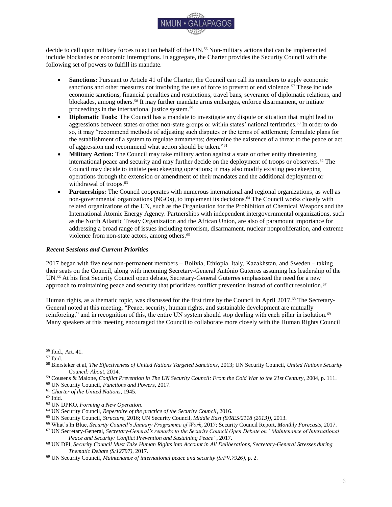

consideration of climate change by the body to avoid encroachment on the work and mandate of other UN bodies.<sup>117</sup> Since then, the position of the G77 has seemed to lose unanimity, as more and more countries and blocs acknowledged the direct linkage of climate change with peace and security, and declared their willingness to consider a stronger role for the Security Council.<sup>118</sup>

The European Union and its Member States are typically in favor of an increased role for the Security Council. <sup>119</sup> It is no coincidence that the topic was first added to the agenda by the United Kingdom and that the only formal position of the Security Council, presidential statement 2011/15, was reached under the German presidency.<sup>120</sup> While the United States assumed a neutral position in 2007, it became one of the loudest proponents of securitization in the 2011 debate, when its delegate stated that it "is past time for the Security Council to come into the 21st century and assume our core responsibilities."<sup>121</sup> The recent decision by the United States government to withdraw from the UNFCCC's *Paris Agreement*, however, makes a continuation of this position doubtful.<sup>122</sup>

China and Russia, both veto powers, remain strong opponents to Security Council action confronting climate change.<sup>123</sup> Although they ratified the *Paris Agreement* and, especially in the case of China, seem to embrace a lowcarbon transformation of their economies, they see no added value in involving the Security Council.<sup>124</sup> Russia fears "a further politicization of the issue and increased disagreements among countries," while China, regarding climate change as "fundamentally a sustainable development issue," points out that the Security Council lacks "universal representation" as well as the necessary expertise and capabilities, and therefore should not replace the UNFCCC.<sup>125</sup>

Outside the Security Council, many institutions and organizations have subscribed to the idea that climate change has implications for peace and security. The Executive Secretary of the UNFCCC, Patricia Espinosa, has recently emphasized that it is "key [to frame] climate change as a security story" and that "[climate] action reduces risk and increases stability."<sup>126</sup> The UN Environment Programme (UNEP) recently published a joint strategic report with the International Police Organization (INTERPOL) entitled *Environment, Peace and Security: A Convergence of Threats* (2016), which focuses on environmental crime (which it finds worth up to \$258 billion) and its negative consequences for peace, security, and stability.<sup>127</sup> In cooperation with the International Organization for Migration (IOM), the UN Office for the Coordination of Humanitarian Affairs (OCHA), the UN University, and the Permanent Interstate Committee for Drought Control in the Sahel (CILSS), UNEP also investigated the implications of climate change for livelihoods, conflict, and migration in the Sahel region.<sup>128</sup> UNEP furthermore contributed to the 2011 UN Security Council's debate that resulted in presidential statement 2011/15 and provided substantial contributions to the UN Secretary-General's 2009 report on climate change and its possible security implications.<sup>129</sup>

The G7 group of industrialized countries has recognized that "climate change poses a serious threat to global security" and continues to formulate common climate policies, based on research such as its influential report *A New Climate for Peace: Taking Action on Climate and Fragility Risks* (2015).<sup>130</sup> The Secretary General of the military alliance North Atlantic Treaty Organization (NATO), Jens Stoltenberg, affirmed that "[climate] change is also a security threat" – a statement that is flanked by NATO's growing concern about the topic.<sup>131</sup> Similarly, many states

<sup>117</sup> Warren, *Climate Change and International Peace and Security*, 2015, p. 2.

<sup>118</sup> Ibid., pp. 2-5.

<sup>119</sup> Warren & Utterback, United Nations Security Council Holds Special Meeting on Climate Change, *Climate Law Blog*, 2015.

<sup>120</sup> Warren, *Climate Change and International Peace and Security*, 2015, pp. 2-5.

<sup>121</sup> UN Security Council, *Maintenance of international peace and security: Impact of climate change (S/PV.6587)*, 2011, p. 7.

<sup>122</sup> The White House, *President Trump Announces U.S. Withdrawal From the Paris Climate Accord*, 2017.

<sup>123</sup> Warren, *Climate Change and International Peace and Security*, 2015, pp. 2-5.

<sup>124</sup> Ibid.

<sup>125</sup> UN Security Council, *Maintenance of international peace and security: Impact of climate change (S/PV.6587)*, 2011, pp. 13, 9.

<sup>126</sup> UNFCCC, *The Climate Change Story is a Security Story. Address at Munich Security Conference by Executive Secretary Patricia Espinosa*, 2017.

<sup>127</sup> INTERPOL & UNEP, *Strategic Report: Environment, Peace and Security – A Convergence of Threats*, 2016.

<sup>128</sup> UNEP, *Livelihood Security: Climate Change, Migration and Conflict in the Sahel*, 2011.

<sup>129</sup> UNEP, *Climate change and Security Risks*.

<sup>130</sup> Rüttinger et al., *A New Climate for Peace: Taking Action on Climate and Fragility Risks*, 2015.

<sup>131</sup> Fetzek, *The Alliance in a Changing Climate*, 2017.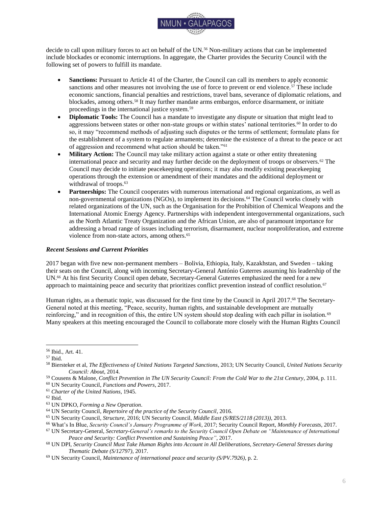

include the security implications of climate change in their national security strategies (or equivalent documents), including, for example, Russia and the United States.<sup>132</sup>

Representatives from civil society and academia contribute to the debate about the security implications of climate change through direct contact with decision-makers, advisory contributions for international organizations and policy forums, public campaigns, and scientific and policy assessments.<sup>133</sup> This includes, for example, the publication of the international climate change think tank E3G named *United we stand: Reforming the UN to reduce climate risk*, which argues for an active UN Security Council role in global climate policy.<sup>134</sup> The Think20 dialogue process, an effort of international think tanks to inform the participants of the G20 Summit in July 2017, produced as a key policy brief *Building Global Governance for 'Climate Refugees'*, which focused on migration and displacement as direct consequences of climate change.<sup>135</sup> More generally, academic and research institutions, such as the Center for Climate and Security (CCS) and the Stockholm International Peace Research Institute (SIPRI), work as well-informed focal points for researchers, policymakers, and citizens who are interested in the debate.<sup>136</sup>

### <span id="page-15-0"></span>*Adverse Consequences of Climate Change for International Peace and Security*

Climate change is advancing rapidly. It is expected that by the year 2100, there will be an increase in global temperature of 2 to 7 degrees Celsius above pre-industrial levels, which will "cause more frequent and more severe extreme weather events such as heavy rains, drought, heatwaves and storms."<sup>137</sup> Simultaneously, as the extent of global sea ice is receding due to global warming, sea levels will continue to rise, with estimates ranging from 0.36 to 0.58 meters by the year 2100.<sup>138</sup> Environmental stress caused by climate change will lead to declining agricultural yields in many regions of the world, with adverse effects including food insecurity, poverty, and competition over natural resources.<sup>139</sup> Droughts will become more common and reduce access to clean drinking water.<sup>140</sup> These negative effects of climate change will be most problematic in regions that are already weak and fragile, further jeopardizing the livelihoods of their inhabitants and increasing "migration that people would rather have avoided."<sup>141</sup>

#### *Classification of Security-Related Consequences of Climate Change*

Scientific literature and political documents name several key direct and indirect adverse consequences of climate change on international peace and security. An informative summary is provided by the G7-commissioned report *A New Climate for Peace* (2015):

- 1. "Local resource competition: As the pressure on natural resources increases, competition can lead to instability and even violent conflict in the absence of effective dispute resolution.
- 2. Livelihood insecurity and migration: Climate [change] will increase the human insecurity of people who depend on natural resources for their livelihoods, which could push them to migrate or turn to illegal sources of income.
- 3. Extreme weather events and disasters: Extreme weather events and disasters will exacerbate fragility challenges and can increase people's vulnerability and grievances, especially in conflict-affected situations.
- 4. Volatile food prices and provision: Climate change is highly likely to disrupt food production in many regions, increasing prices and market volatility, and heightening the risk of protests, rioting, and civil conflict.
- 5. Transboundary water management: Transboundary waters are frequently a source of tension; as demand grows and climate impacts affect availability and quality, competition over water use will likely increase the pressure on existing governance structures.

<sup>132</sup> Born, *A resolution for a peaceful climate*, 2017, p. 6; UNFCCC, *The Climate Change Story is a Security Story. Address at Munich Security Conference by Executive Secretary Patricia Espinosa*, 2017.

<sup>133</sup> Carlarne et al., *International Climate Change Law: Mapping the Field*, 2016, pp. 21-22.

<sup>134</sup> Born & Mabey, *United we Stand: Reforming the United Nations to Reduce Climate Risk*, 2016.

<sup>135</sup> Kraemer et al., *Forced Migration: Building Global Governance for 'Climate Refugees'*, 2017.

<sup>136</sup> The Center for Climate & Security, *Exploring the Security Risks of Climate Change.*

<sup>137</sup> German Advisory Council on Global Change, *Climate Change as a Security Risk*, 2007, p. 15.

<sup>138</sup> Rüttinger et al., *A New Climate for Peace: Taking Action on Climate and Fragility Risks*, 2015, p. 12.

<sup>139</sup> German Advisory Council on Global Change, *Climate Change as a Security Risk*, 2007, p. 15.

<sup>140</sup> Ibid.

<sup>141</sup> Adger et al., *Human security*, 2014, p. 762.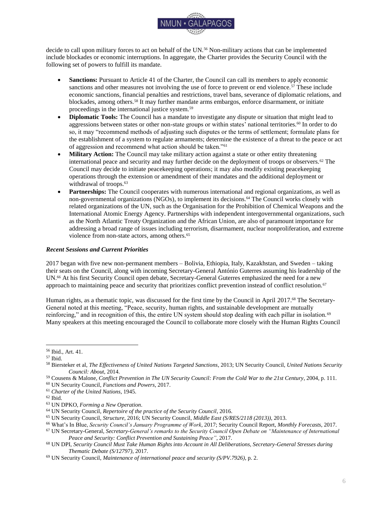

- 6. Sea level rise and coastal degradation: Rising sea levels will threaten the viability of low-lying areas even before they are submerged, leading to social disruption, displacement, and migration, while disagreements over maritime boundaries and ocean resources may increase.
- 7. Unintended effects of climate policies: As climate adaptation and mitigation policies are more broadly implemented, the risks of unintended negative effects – particularly in fragile contexts – will also increase<sup>"142</sup>

These key findings are also echoed in the Secretary-General's report on climate change and its possible security implications (2009), which identifies five channels through which security could be affected:

- 1. "Vulnerability: climate change threatens food security and human health, and increases human exposure to extreme events;
- 2. Development: if climate change results in slowing down or reversing the development process, this will exacerbate vulnerability and could undermine the capacity of [s]tates to maintain stability;
- 3. Coping and security: migration, competition over natural resources, and other coping responses of households and communities faced with climate-related threats could increase the risk of domestic conflict as well as have international repercussions;
- 4. Statelessness: there are implications for rights, security, and sovereignty [or] the loss of statehood because of the disappearance of territory;
- 5. International conflict: there may be implications for international cooperation from climate change's impact on shared or undemarcated international resources."<sup>143</sup> A significant example is the disappearance of the Arctic's sea-ice and permafrost due to global warming, which brings new opportunities for more human presence and economic activities, such as shipping lanes, trade passages, and resource exploration.<sup>144</sup> As the strategic importance of the Arctic regions increases, there may be a higher potential for interstate conflict. $145$

#### *Case Study: Lake Chad*

Insightful evidence of how climate change fuels conflict can be found in the Lake Chad region, which extends to the territories of Cameroon, Chad, Niger, and Nigeria. In the last 50 years, Lake Chad has lost 90% of its original size of 25,000 square kilometers due to the changing climate, unsustainable use of resources, as well as population growth in the surrounding area (from 13 million in 1960 to around 50 million in 2015, with prospects for further rapid growth).<sup>146</sup> As a consequence, "water scarcity, health issues, food insecurity and poverty have increased dramatically" for populations both directly and indirectly dependent on the lake's natural resources and economic opportunities.<sup>147</sup>

The resulting competition over natural resources, territorial disputes, and migration have led to heightened tensions in the Lake Chad region, increased the occurrence of violent conflicts, and even become "a factor driving recruitment by the terrorist group Boko Haram," which is very active in the region.<sup>148</sup> Mohammed Ibn Chambas, in his function as Special Representative of the Secretary-General and Head of the UN Office for West Africa and the Sahel, reported to the Security Council in 2016 that 9.2 million people in the region were in need of humanitarian assistance and 2.4 million people (among them 1.5 million children) had been displaced due to violent conflict, with most of them finding refuge in the region.<sup>149</sup> Chambas concluded that the Lake Chad region is proof that climate change "affects security, development and stability [and] becomes a fundamental threat to human security." 150

 $\overline{a}$ <sup>142</sup> Rüttinger et al., *A New Climate for Peace: Taking Action on Climate and Fragility Risks*, 2015.

<sup>143</sup> UN General Assembly, *Climate change and its possible security implications: Report of the Secretary-General (A/64/350)*, 2009.

<sup>144</sup> Rüttinger et al., *A New Climate for Peace: Taking Action on Climate and Fragility Risks*, 2015, p. 70.

<sup>145</sup> Ibid., pp. 70-71.

<sup>146</sup> UN Security Council, *Peace and security in Africa (S/PV.7699)*, 2016, p. 3; UNEP, *Livelihood Security: Climate Change, Migration and Conflict in the Sahel*, 2011, p. 61.

<sup>147</sup> Ibid.

<sup>148</sup> Bhatiya, *A Post-Paris Agenda for Climate Security at the UN*, 2016, p. 8; Warren & Utterback, United Nations Security Council Holds Special Meeting on Climate Change, *Climate Law Blog*, 2015.

<sup>149</sup> UN Security Council, *Peace and security in Africa (S/PV.7699)*, 2016, p. 3.

<sup>150</sup> Ibid., p. 2.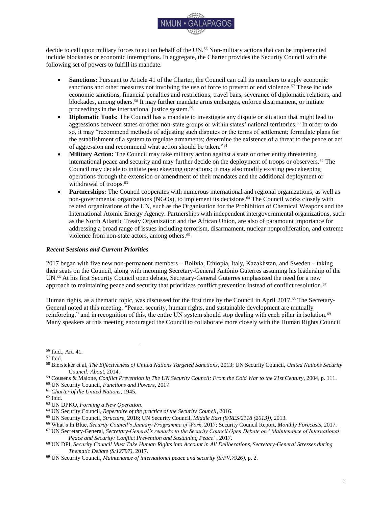

With resolution 2349 (2017), the Security Council condemned Boko Haram's activities in the Lake Chad region and encouraged enhanced regional military cooperation to fight against the terrorist organization.<sup>151</sup> Moreover, the Council recognized "the adverse effects of climate change and ecological changes among other factors on the stability of the Region, including through water scarcity, drought, desertification, land degradation, and food insecurity."<sup>152</sup> The resolution thus reveals "a growing willingness in the Council to recognize the security implications of climate change," but it remains to be seen whether this will lead to direct action.<sup>153</sup>

#### <span id="page-17-0"></span>*Potential Security Council Actions*

With resolution 1625, adopted unanimously at the 2005 World Summit, the Security Council acknowledged "the need to adopt a broad strategy of conflict prevention, which addresses the root causes of armed conflict and political and social crises."<sup>154</sup> This exemplified the Council's intention to assume a more active and preventive stance towards global threats, as resolution 1625 opened the door to focus on non-traditional international peace and security aspects.<sup>155</sup> For this reason, resolution 1625 also represents an important precedent for proponents of an increased role for the Security Council in global climate policy.<sup>156</sup> The Council has moreover proved its capacity and willingness to assume *de facto* global lawmaking competence when it criminalized terrorism with resolution 1373  $(2001)$  and the proliferation of weapons of mass destruction with resolution 1540  $(2004)$ .<sup>157</sup> Following these precedents, and pursuant to its mandate in the Charter, the Security Council could add climate change to its work agenda and become actively involved.<sup>158</sup> In this case, the Council would have to determine its role in relation to the UNFCCC accords (for example, acting as an enforcement agency) or to establish its own set of norms, objectives, and procedures.<sup>159</sup>

Based on the Charter, the Council may assume a role of soft compliance through investigating the issue (Article 34), calling for peaceful settlement of a conflict through arbitration (Article 33 (2)), and making recommendations to the involved conflict parties (Article 38).<sup>160</sup> It may also call upon states to comply with provisional measures to "prevent an aggravation of the situation" (Article 40), such as urging them to ratify certain treaties or conventions, simply resorting to adopting a public resolution condemning certain actions or lack of actions, or calling upon the International Court of Justice (ICJ) to issue (non-binding) advisory opinions on states' climate action.<sup>161</sup>

A hard compliance policy, in the sense of Chapter VII of the Charter, could become manifest in the form of economic and diplomatic sanctions (Article 41), which could even be directed at certain polluting industries or climate-endangering markets.<sup>162</sup> Based on its quasi-lawmaking competence (resolutions 1373 and 1540), the Security Council could also empower itself to investigate, regulate, and impose compliance, or create subsidiary bodies to do so.<sup>163</sup> However, the use of military force (Article 42) is, even in this theoretical debate, by most commenters rejected on "practical and moral grounds."<sup>164</sup> These concerns also point towards the limitations associated with the Security Council's potential actions. Even if the Council were willing to act, it may be limited by its lack of universal and equal representation, and accordingly, a perceived deficit in legitimacy.<sup>165</sup>

 $\overline{a}$ <sup>151</sup> UN Security Council, *Peace and security in Africa (S/RES/2349 (2017))*, 2017.

<sup>152</sup> Ibid.

<sup>153</sup> Security Council Report, *In Hindsight: The Security Council and Climate Change – An Ambivalent Relationship*, 2017.

<sup>154</sup> UN Security Council, *Threats to international peace and security (Security Council Summit 2005) (S/RES/1625 (2005))*, 2005. <sup>155</sup> Warren, *Climate Change and International Peace and Security*, 2015, p. 1.

<sup>156</sup> Ibid.

<sup>157</sup> UN Security Council, *Peace and security – terrorist acts (S/RES/1373 (2001))*, 2001; UN Security Council, *Non-proliferation of weapons of mass destruction (S/RES/1540 (2004))*, 2004.

<sup>158</sup> *Charter of the United Nations*, 1945, Art. 34.

<sup>159</sup> Warren & Utterback, *United Nations Security Council Holds Special Meeting on Climate Change*, 2015.

<sup>160</sup> *Charter of the United Nations*, 1945, Chapter VI; Warren, *Climate Change and International Peace and Security*, 2015, p. 10.

<sup>161</sup> Ibid.

<sup>162</sup> Ibid., p. 11.

<sup>163</sup> Ibid., pp. 12-14.

<sup>164</sup> Ibid., p. 12.

<sup>165</sup> Boyle & Ghaleigh, *Climate Change and International Law beyond the UNFCCC*, 2016, p. 40.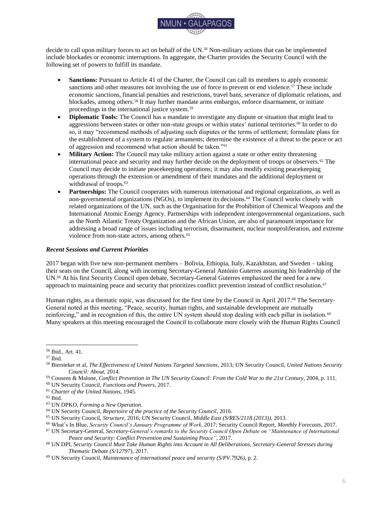

#### <span id="page-18-0"></span>*Conclusion*

This Background Guide section has introduced the reader to the debate about climate change and its implications for international peace and security. It has shown that the topic receives great attention from a wide variety of international bodies, and that there are several manifest indicators of the adverse consequences of climate change in the realm of international peace and security. The Security Council has been debating the topic for ten years now; yet – besides a presidential statement – it has not assumed an active role or even been able to formulate a common position.<sup>166</sup> If the Council decides to become more involved in global climate policy, there is a wide range of potential steps it can take that range from soft compliance to hard compliance measures.<sup>167</sup>

#### <span id="page-18-1"></span>*Further Research*

To guide delegates in their research and policy formulations, there are several noteworthy questions to consider: Is there a window of opportunity for a common position among all Member States of the Security Council and, if so, what would it look like? If the Council decides to seize the matter, how would it work alongside relevant international institutions – including, most importantly, the UNFCCC? What potential tools and measures are most likely to succeed?

## **Annotated Bibliography**

<span id="page-18-2"></span>Bhatiya, N. (2017, May 2). Ukraine, Germany, Sweden Urge UN Security Council to Address Climate Change Threat. *The Center for Climate and Security*. Retrieved 6 June 2017 from: [https://climateandsecurity.org/2017/05/02/ukraine-and-germany-urge-un-security-council-to-address-climate](https://climateandsecurity.org/2017/05/02/ukraine-and-germany-urge-un-security-council-to-address-climate-change-threat/)[change-threat/](https://climateandsecurity.org/2017/05/02/ukraine-and-germany-urge-un-security-council-to-address-climate-change-threat/)

*The author is an eminent researcher in the field of climate change securitization. In this blog article, the author provides an update on the Security Council's latest informal debate on climate change and security, which was convened by Ukraine in April 2017. Since there was no formal resolution, the article introduces the debate and summarizes the statements of its participants and their diverging views. The source is valuable, as it highlights the most recent developments of the Council's ongoing consideration of climate change.*

Born, C. (2017, January). *A resolution for a peaceful climate: Opportunities for the UN Security Council*. SIPRI Policy Brief. Retrieved 5 June 2017 from: [https://www.sipri.org/sites/default/files/Resolution-for-peaceful](https://www.sipri.org/sites/default/files/Resolution-for-peaceful-climate.pdf)[climate.pdf](https://www.sipri.org/sites/default/files/Resolution-for-peaceful-climate.pdf)

*The Stockholm International Peace Research Institute (SIPRI) is a government-sponsored research institute on global security based in Sweden. The author, an eminent climate policy analyst and advisor, provides a timely and precise overview of the Security Council's stance vis-àvis climate change and outlines potential benefits of a more active role of the Council. The source is especially valuable for delegates, as is provides a current, comprehensive, and authoritative analysis of the topic.*

United Nations, General Assembly, Sixty-fourth session. (2009). *Climate change and its possible security implications: Report of the Secretary-General (A/64/350).* Retrieved 5 June 2017 from:<http://undocs.org/A/64/350> *As requested by the UN General Assembly in its resolution 63/281 on "Climate change and its possible security implications" (2009), the Secretary-General presented this comprehensive report. The report outlines key channels how climate change, essentially a "threat multiplier," may affect security and desirable conditions or paths of action that would minimize risks for international peace and security. The report served and still serves as the most comprehensive and defining document produced on the level of the UN on this topic, which is why delegates should not miss it.*

<sup>166</sup> Mobjörk et al., *Climate-Related Security Risks: Towards an Integrated Approach*, 2016, p. 28.

<sup>167</sup> Warren, *Climate Change and International Peace and Security*, 2015.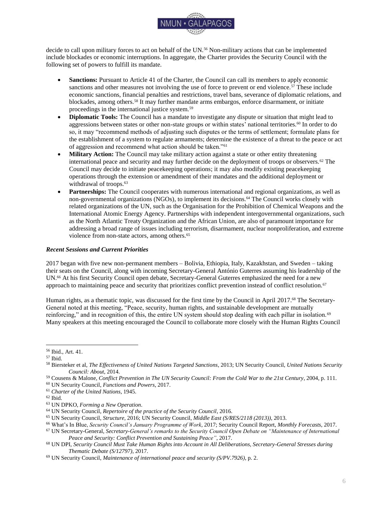

United Nations, Security Council, 6587th meeting. (2011). *Maintenance of international peace and security (S/PRST/2011/15)* [Presidential Statement]. Retrieved 5 June 2017 from:<http://undocs.org/S/PRST/2011/15> *The Security Council considered in its 6587th meeting the impact of climate change as part of its debate on "Maintenance of international peace and security." It is the first time that the Council acknowledged possible security implications due to climate change and that this acknowledgment*  warrants further observation. Although the Council did not adopt a resolution, this presidential *statement, made on behalf of the Council, represents the minimum consensus and is regarded a milestone in the securitization of climate change.* 

Warren, D. (2015). *Climate Change and International Peace and Security: Possible Roles for the U.N. Security Council in Addressing Climate Change*. Sabin Center for Climate Change Law / Columbia Law School. Retrieved 5 June 2017 from: [https://web.law.columbia.edu/sites/default/files/microsites/climate-change/warren\\_-](https://web.law.columbia.edu/sites/default/files/microsites/climate-change/warren_-_cc_and_international_peace_and_security_-_roles_for_the_un_security_council.pdf) [\\_cc\\_and\\_international\\_peace\\_and\\_security\\_-\\_roles\\_for\\_the\\_un\\_security\\_council.pdf](https://web.law.columbia.edu/sites/default/files/microsites/climate-change/warren_-_cc_and_international_peace_and_security_-_roles_for_the_un_security_council.pdf)

*Columbia Law School's Sabin Center for Climate Change is a private research institute with a distinguished reputation for its North American and international climate law and regulation analysis. The author of this paper presents a basic and introductory analysis of the Security Council's actual and potential role in climate change, as well as an overview of relevant literature and sources. Delegates might consider this source as a first step to gaining a general idea of the topic and its implications.* 

# **Bibliography**

<span id="page-19-0"></span>Adger, W. N., et al. (2014). Human security. In C. B. Field et al. (Eds.), *Climate Change 2014: Impacts, Adaptation, and Vulnerability. Part A: Global and Sectoral Aspects. Contribution of Working Group II to the Fifth Assessment Report of the Intergovernmental Panel on Climate Change* (pp. 755-791). Cambridge, United Kingdom, and New York, United States of America: Cambridge University Press. Retrieved 7 June 2017 from: [https://www.ipcc.ch/pdf/assessment-report/ar5/wg2/WGIIAR5-Chap12\\_FINAL.pdf](https://www.ipcc.ch/pdf/assessment-report/ar5/wg2/WGIIAR5-Chap12_FINAL.pdf)

de Agueda Corneloup, I., & A. P. Mol. (2014). Small island developing states and international climate change negotiations: The power of moral "leadership". *International Environmental Agreements: Politics, Law and Economics*, 14 (3): 281-297. Retrieved 12 July 2017 from:

[http://www.academia.edu/download/46321546/Small\\_island\\_developing\\_states\\_and\\_inter20160607-3187-](http://www.academia.edu/download/46321546/Small_island_developing_states_and_inter20160607-3187-99ty9r.pdf) [99ty9r.pdf](http://www.academia.edu/download/46321546/Small_island_developing_states_and_inter20160607-3187-99ty9r.pdf)

Bhatiya, N. (2016). *A Post-Paris Agenda for Climate Security at the UN*. The Century Foundation. Retrieved 6 June 2017 from:<https://tcf.org/content/report/a-post-paris-agenda-for-climate-security-at-the-un/>

Bhatiya, N. (2017, May 2). Ukraine, Germany, Sweden Urge UN Security Council to Address Climate Change Threat. *The Center for Climate and Security*. Retrieved 6 June 2017 from: [https://climateandsecurity.org/2017/05/02/ukraine-and-germany-urge-un-security-council-to-address-climate](https://climateandsecurity.org/2017/05/02/ukraine-and-germany-urge-un-security-council-to-address-climate-change-threat/)[change-threat/](https://climateandsecurity.org/2017/05/02/ukraine-and-germany-urge-un-security-council-to-address-climate-change-threat/)

Born, C. (2017). *A resolution for a peaceful climate: Opportunities for the UN Security Council*. SIPRI Policy Brief. Retrieved 5 June 2017 from:<https://www.sipri.org/sites/default/files/Resolution-for-peaceful-climate.pdf>

Born, C., & N. Mabey. (2016). *United we Stand: Reforming the United Nations to Reduce Climate Risk*. E3G. Retrieved 12 July 2017 from: [https://www.e3g.org/docs/United\\_We\\_Stand.pdf](https://www.e3g.org/docs/United_We_Stand.pdf)

Boyle, A., & N. S. Ghaleigh. (2016). Climate Change and International Law beyond the UNFCCC. In K. R. Gray et al. (Eds.), *The Oxford Handbook of International Climate Change Law* (pp. 26-54). Oxford, United Kingdom: Oxford University Press. Retrieved 5 June 2017 from: <http://www.oxfordhandbooks.com/view/10.1093/law/9780199684601.001.0001/oxfordhb-9780199684601-e-2>

Boyle, A., et al. (2016). *The United Nations Security Council's Legislative and Enforcement Powers and Climate Change*. Scottish Centre for International Law Working Paper Series. Retrieved 6 June 2017 from: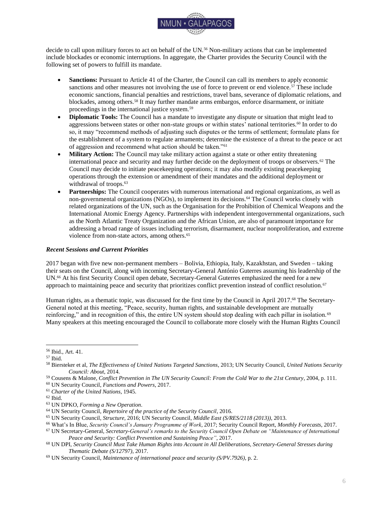

[http://www.scil.ed.ac.uk/\\_\\_data/assets/pdf\\_file/0003/213096/Boyle\\_Hartmann\\_Savaresi\\_SCIL\\_Working\\_Paper\\_14.](http://www.scil.ed.ac.uk/__data/assets/pdf_file/0003/213096/Boyle_Hartmann_Savaresi_SCIL_Working_Paper_14.pdf) [pdf](http://www.scil.ed.ac.uk/__data/assets/pdf_file/0003/213096/Boyle_Hartmann_Savaresi_SCIL_Working_Paper_14.pdf)

Carlarne, C., et al. (2016). International Climate Change Law: Mapping the Field. In K. R. Gray et al. (Eds.), *The Oxford Handbook of International Climate Change Law* (pp. 4-25). Oxford, United Kingdom: Oxford University Press. Retrieved 13 August 2017 from:

<http://www.oxfordhandbooks.com/view/10.1093/law/9780199684601.001.0001/oxfordhb-9780199684601-e-1>

The Center for Climate & Security. *Exploring the Security Risks of Climate Change* [Website]. Retrieved 12 July 2017 from:<https://climateandsecurity.org/>

*Charter of the United Nations*. (1945). Retrieved 12 July 2017 from: [http://www.un.org/en/sections/un-charter/un](http://www.un.org/en/sections/un-charter/un-charter-full-text/)[charter-full-text](http://www.un.org/en/sections/un-charter/un-charter-full-text/)

Conference of the Parties to the United Nations Framework Convention on Climate Change, Twenty-first session. (2015). *Paris Agreement (FCCC/CP/2015/10/Add.1)*. Retrieved 13 August 2017 from: <http://undocs.org/FCCC/CP/2015/10/Add.1>

Fetzek, S. (2017). *The Alliance in a Changing Climate: Bolstering the NATO Mission Through Climate Preparedness (Briefer No. 37)*. The Center for Climate and Security. Retrieved 12 July 2017 from: [https://climateandsecurity.files.wordpress.com/2012/04/the-alliance-in-a-changing-climate\\_bolstering-the-nato](https://climateandsecurity.files.wordpress.com/2012/04/the-alliance-in-a-changing-climate_bolstering-the-nato-mission-through-climate-preparedness_briefer-37.pdf)[mission-through-climate-preparedness\\_briefer-37.pdf](https://climateandsecurity.files.wordpress.com/2012/04/the-alliance-in-a-changing-climate_bolstering-the-nato-mission-through-climate-preparedness_briefer-37.pdf)

German Advisory Council on Global Change (WBGU). (2007). *Climate Change as a Security Risk*. London, United Kingdom, and Sterling, United States of America: Earthscan. Retrieved 13 August 2017 from: [http://www.wbgu.de/fileadmin/user\\_upload/wbgu.de/templates/dateien/veroeffentlichungen/hauptgutachten/jg2007/](http://www.wbgu.de/fileadmin/user_upload/wbgu.de/templates/dateien/veroeffentlichungen/hauptgutachten/jg2007/wbgu_jg2007_engl.pdf) [wbgu\\_jg2007\\_engl.pdf](http://www.wbgu.de/fileadmin/user_upload/wbgu.de/templates/dateien/veroeffentlichungen/hauptgutachten/jg2007/wbgu_jg2007_engl.pdf)

Gilley, B., & D. Kinsella. (2015). Coercing Climate Action. *Survival: Global Politics and Strategy*, 57 (2): 7-28.

International Police Organization (INTERPOL) & United Nations Environment Programme. (2016). *Strategic Report: Environment, Peace and Security – A Convergence of Threats*. Retrieved 12 July 2017 from: [http://wedocs.unep.org/bitstream/handle/20.500.11822/17008/environment\\_peace\\_security.pdf](http://wedocs.unep.org/bitstream/handle/20.500.11822/17008/environment_peace_security.pdf)

Kraemer, R. A., et al. (2017). *Forced Migration: Building Global Governance for 'Climate Refugees'*. G20 Insights. Retrieved 12 July 2017 from: [http://www.g20-insights.org/wp](http://www.g20-insights.org/wp-content/uploads/2017/03/Building_Global_Governance_Climate_Refugees.pdf)[content/uploads/2017/03/Building\\_Global\\_Governance\\_Climate\\_Refugees.pdf](http://www.g20-insights.org/wp-content/uploads/2017/03/Building_Global_Governance_Climate_Refugees.pdf)

Mason, M. (2015). Climate change and human security: the international governance architectures, policies and instruments. In M. R. Redclift & M. Grasso (Eds.), *Handbook on Climate Change and Human Security* (pp. 382-401). Cheltenham, United Kingdom: Edward Elgar. Retrieved 12 July 2017 from: <http://eprints.lse.ac.uk/64751/1/Climate%20change.pdf>

Mobjörk, M., et al. (2016). *Climate-Related Security Risks: Towards an Integrated Approach*. Stockholm International Peace Research Institute (SIPRI). Retrieved 12 July 2017 from: <https://www.sipri.org/sites/default/files/Climate-related-security-risks.pdf>

Rüttinger, L., et al. (2015). *A New Climate for Peace: Taking Action on Climate and Fragility Risks.* Adelphi, International Alert, Woodrow Wilson International Center for Scholars & European Union Institute for Security Studies. Retrieved 8 June 2017 from:<https://www.newclimateforpeace.org/#report-top>

Scott, S. V. (2015). Implications of climate change for the UN Security Council: mapping the range of potential policy responses. *International Affairs*, 91 (5): 1317-1333.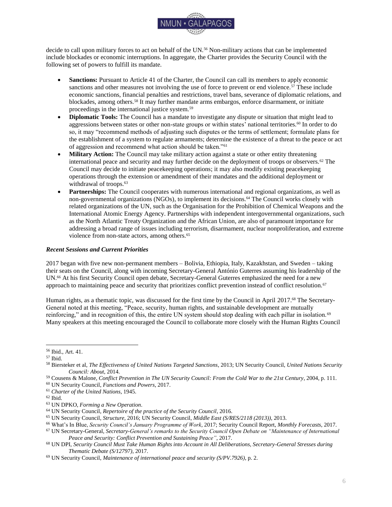

Security Council Report. (2017). *In Hindsight: The Security Council and Climate Change – An Ambivalent Relationship*. Retrieved 27 August 2017 from: [http://www.securitycouncilreport.org/monthly-forecast/2017-](http://www.securitycouncilreport.org/monthly-forecast/2017-08/the_security_council_and_climate_change_an_ambivalent_relationship.php)  $08$ /the security council and climate change an ambivalent relationship.php

United Nations Conference on Environment and Development. (1992). *Agenda 21* [Outcome Document]. Retrieved 12 July 2017 from:<https://sustainabledevelopment.un.org/content/documents/Agenda21.pdf>

United Nations Conference on Environment and Development. (1992). *The Rio Declaration on Environment and Development (A/CONF.151/26 (Vol. I))* [Outcome Document]. Retrieved 12 July 2017 from: <http://www.un.org/documents/ga/conf151/aconf15126-1annex1.htm>

*United Nations Convention on the Law of the Sea*. (1982). Retrieved 12 July 2017 from: [http://www.un.org/depts/los/convention\\_agreements/texts/unclos/unclos\\_e.pdf](http://www.un.org/depts/los/convention_agreements/texts/unclos/unclos_e.pdf)

United Nations, Department of Economic and Social Affairs. (2017). *The Sustainable Development Goals Report 2017*. Retrieved 13 August 2017 from: <https://unstats.un.org/sdgs/files/report/2017/TheSustainableDevelopmentGoalsReport2017.pdf>

United Nations Development Programme. (1994). *Human Development Report 1994*. Retrieved 12 July 2017 from: [http://hdr.undp.org/sites/default/files/reports/255/hdr\\_1994\\_en\\_complete\\_nostats.pdf](http://hdr.undp.org/sites/default/files/reports/255/hdr_1994_en_complete_nostats.pdf)

United Nations Environment Programme. (n.d.). *Climate change and Security Risks* [Website]. Retrieved 12 July 2017 from:<http://www.unep.org/disastersandconflicts/what-we-do/risk-reduction/climate-change-and-security-risks>

United Nations Environment Programme. (2011). *Livelihood Security: Climate Change, Migration and Conflict in the Sahel* [Report]. Retrieved 13 August 2017 from: [http://postconflict.unep.ch/publications/UNEP\\_Sahel\\_EN.pdf](http://postconflict.unep.ch/publications/UNEP_Sahel_EN.pdf)

*United Nations Framework Convention on Climate Change.* (1992). Retrieved 13 August 2017 from[:](http://unfccc.int/key_documents/the_convention/items/2853.php) [http://unfccc.int/key\\_documents/the\\_convention/items/2853.php](http://unfccc.int/key_documents/the_convention/items/2853.php)

United Nations Framework Convention on Climate Change. (2017, February 18). *The Climate Change Story is a Security Story. Address at Munich Security Conference by Executive Secretary Patricia Espinosa*. Retrieved 5 June 2017 from: [http://newsroom.unfccc.int/unfccc-newsroom/patricia-espinosa-the-climate-change-story-is-a-security](http://newsroom.unfccc.int/unfccc-newsroom/patricia-espinosa-the-climate-change-story-is-a-security-story)[story](http://newsroom.unfccc.int/unfccc-newsroom/patricia-espinosa-the-climate-change-story-is-a-security-story)

United Nations, General Assembly, Sixty-third session. (2009). *Climate change and its possible security implications (A/RES/63/281)* [Resolution]*.* Retrieved 5 June 2017 from:<http://undocs.org/A/RES/63/281>

United Nations, General Assembly, Sixty-fourth session. (2009). *Climate change and its possible security implications: Report of the Secretary-General (A/64/350). Retrieved 5 June 2017 from:<http://undocs.org/A/64/350>* 

United Nations, General Assembly, Sixty-sixth session. (2012). *The Future We Want (A/RES/66/288)* [Outcome Document]*.* Retrieved 9 July 2017 from: [http://undocs.org/A/RES/66/288](http://undocs.org/a/res/66/288)

United Nations, General Assembly, Sixty-ninth session. (2015). *Sendai Framework for Disaster Risk Reduction 2015-2030 (A/RES/69/283)*. Retrieved 12 July 2017 from:<http://undocs.org/A/RES/69/283>

United Nations, General Assembly, Seventieth session. (2015). *Transforming our world: the 2030 Agenda for Sustainable Development (A/RES/70/1)*. Retrieved 9 July 2017 from: <http://undocs.org/A/RES/70/1>

United Nations, Security Council, 4385th meeting. (2001). *Peace and security – terrorist acts (S/RES/1373 (2001))*  [Resolution]. Retrieved 12 July 2017 from: [http://undocs.org/S/RES/1373\(2001\)](http://undocs.org/S/RES/1373(2001))

United Nations, Security Council, 4956th meeting. (2004). *Non-proliferation of weapons of mass destruction (S/RES/1540 (2004))* [Resolution]. Retrieved 12 July 2017 from: [http://undocs.org/S/RES/1540\(2004\)](http://undocs.org/S/RES/1540(2004))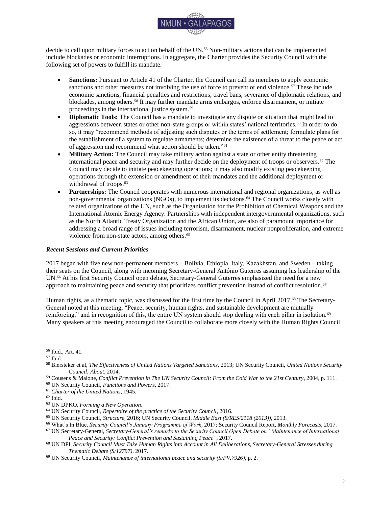

United Nations, Security Council, 5261st meeting. (2005). *Threats to international peace and security (Security Council Summit 2005) (S/RES/1625 (2005))* [Resolution]. Retrieved 12 July 2017 from: [http://undocs.org/S/RES/1625\(2005\)](http://undocs.org/S/RES/1625(2005))

United Nations, Security Council. (2007, April 5). *Letter dated 5 April 2007 from the Permanent Representative of the United Kingdom of Great Britain and Northern Ireland to the United Nations addressed to the President of the Security Council (S/2007/186)*. Retrieved 12 July 2017 from:<http://www.undocs.org/S/2007/186>

United Nations, Security Council, 5663th meeting. (2007, April 17). *Climate change (S/PV.5663)* [Meeting Record]. Retrieved 5 June 2017 from:<http://undocs.org/S/PV.5663>

United Nations, Security Council, 5663th meeting. (2007, April 17). *Climate change (S/PV.5663 (Resumption 1))*  [Meeting Record]. Retrieved 5 June 2017 from: [http://undocs.org/S/PV.5663\(Resumption1\)](http://undocs.org/S/PV.5663(Resumption1))

United Nations, Security Council, 6587th meeting. (2011). *Maintenance of international peace and security (S/PRST/2011/15)* [Presidential Statement]. Retrieved 5 June 2017 from:<http://undocs.org/S/PRST/2011/15>

United Nations, Security Council, 6587th meeting. (2011, July 20). *Maintenance of international peace and security: Impact of climate change (S/PV.6587)* [Meeting Record]. Retrieved 5 June 2017 from: <http://undocs.org/S/PV.6587>

United Nations, Security Council, 6587th meeting. (2011, July 20). *Maintenance of international peace and security: Impact of climate change (S/PV.6587 (Resumption 1))* [Meeting Record]. Retrieved 5 June 2017 from: [http://undocs.org/S/PV.6587\(Resumption1\)](http://undocs.org/S/PV.6587(Resumption1))

United Nations, Security Council, 7699th meeting. (2016, May 26). *Peace and security in Africa (S/PV.7699)* [Meeting Record]. Retrieved 13 August 2017 from:<http://undocs.org/S/PV.7699>

United Nations, Security Council, 7911th meeting. (2017). *Peace and security in Africa (S/RES/2349 (2017))*  [Resolution]. Retrieved 5 June 2017 from: [http://undocs.org/S/RES/2349\(2017\)](http://undocs.org/S/RES/2349(2017))

Voigt, C. (2009). Security in a "Warming World": Competences of the UN Security Council for Preventing Dangerous Climate Change. In C. M. Bailliet (Ed.), *Security: A Multidisciplinary Normative Approach* (pp. 291- 312). Leiden, Netherlands: Koninklijke Brill NV. Retrieved 9 July 2017 from: [http://www.uio.no/studier/emner/jus/jus/JUS5911/v14/undervisningsmateriale/security-in-a-warming-world](http://www.uio.no/studier/emner/jus/jus/JUS5911/v14/undervisningsmateriale/security-in-a-warming-world-final.pdf)[final.pdf](http://www.uio.no/studier/emner/jus/jus/JUS5911/v14/undervisningsmateriale/security-in-a-warming-world-final.pdf)

Warren, P. D. (2015). *Climate Change and International Peace and Security: Possible Roles for the U.N. Security Council in Addressing Climate Change*. Sabin Center for Climate Change Law / Columbia Law School. Retrieved 5 June 2017 from: [https://web.law.columbia.edu/sites/default/files/microsites/climate-change/warren\\_-](https://web.law.columbia.edu/sites/default/files/microsites/climate-change/warren_-_cc_and_international_peace_and_security_-_roles_for_the_un_security_council.pdf) [\\_cc\\_and\\_international\\_peace\\_and\\_security\\_-\\_roles\\_for\\_the\\_un\\_security\\_council.pdf](https://web.law.columbia.edu/sites/default/files/microsites/climate-change/warren_-_cc_and_international_peace_and_security_-_roles_for_the_un_security_council.pdf)

Warren, D., & N. Utterback. (2015, July 7). United Nations Security Council Holds Special Meeting on Climate Change. *Climate Law Blog*. Sabin Center for Climate Change Law / Columbia Law School. Retrieved 6 June 2017 from[: http://blogs.law.columbia.edu/climatechange/2015/07/07/united-nations-security-council-holds-special](http://blogs.law.columbia.edu/climatechange/2015/07/07/united-nations-security-council-holds-special-meeting-on-climate-change/)[meeting-on-climate-change/](http://blogs.law.columbia.edu/climatechange/2015/07/07/united-nations-security-council-holds-special-meeting-on-climate-change/)

White House. (2017, June 1). *President Trump Announces U.S. Withdrawal From the Paris Climate Accord*. Retrieved 12 July 2017 from: [https://www.whitehouse.gov/blog/2017/06/01/president-donald-j-trump-announces](https://www.whitehouse.gov/blog/2017/06/01/president-donald-j-trump-announces-us-withdrawal-paris-climate-accord)[us-withdrawal-paris-climate-accord](https://www.whitehouse.gov/blog/2017/06/01/president-donald-j-trump-announces-us-withdrawal-paris-climate-accord)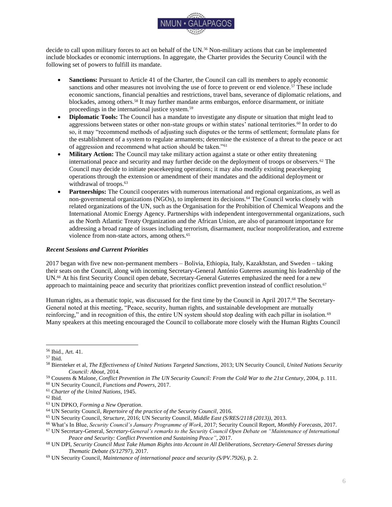

# **II. Environmental Migration as a Concern for Peace and Security**

<span id="page-23-0"></span>*"The drought made the conflict worse. Some raiders came and took away the little food we had raised on our farm. Now we are in a very hard time: the people at home face conflict and famine. They are starving. If we could go back, we would have only dry land and death to greet us."*<sup>168</sup>

#### <span id="page-23-1"></span>*Introduction*

Sudden or progressive changes in the environment, often as a consequence of global climate change, are likely to have an adverse effect on existing migration patterns and the number of migrants.<sup>169</sup> It is hard to single out environmental change as one of the many factors in peoples' decisions to stay or to move.<sup>170</sup> Nevertheless, environmental degradation and climate change are increasingly affecting other root causes of migration, such as sociopolitical instability, food insecurity, and conflict.<sup>171</sup> Migration and displacement bring opportunities and can serve as a reasonable adaptation mechanism to changing environments, but they also create risks for people, communities, and states.<sup>172</sup> Environmental change and its effects on human migration are therefore of concern for international political stability, peace, and security.<sup>173</sup>

This Background Guide will shed light on how the international community approaches the topic of environmental migration from a peace and security perspective. Migration, its root causes, and its consequences are of concern for the maintenance of international peace and security.<sup>174</sup> The guide will therefore also explore a possible role of the United Nations (UN) Security Council in the debate.

#### <span id="page-23-2"></span>*International and Regional Framework*

The *Charter of the United Nations* (1945) and the *Universal Declaration of Human Rights* (1948) establish the principle that humans enjoy fundamental rights and freedoms without discrimination.<sup>175</sup> They form the basis for the *Convention relating to the Status of Refugees* (1951) and its amending *Protocol Relating to the Status of Refugees* (1967), which are considered the centerpiece of international refugee policy.<sup>176</sup> According to the Convention, no state "shall expel or return" a refugee to their original state if their life would be threatened as a consequence.<sup>177</sup> The Convention defines a refugee as a person who,

"owing to well-founded fear of persecution for reasons of race, religion, nationality, membership of a particular social group or political opinions, is outside the country of his nationality and is unable or, owing to such fear, is unwilling to avail himself of the protection of that country, or who, not having a nationality and being outside of the country of his former habitual residence as a result of such events, is unable or, owing to such fear, is unwilling to return to it."<sup>178</sup>

The linkage of refugee policy with environmental or climate policy, on the international level, is quite recent.<sup>179</sup> *Agenda 21* (1992), adopted at the UN Conference on Environment and Development in Rio de Janeiro, mentioned for the first time that "[r]esearch should be conducted on how environmental factors interact with socio-economic factors as a cause of migration."<sup>180</sup> In 2010, the Conference of the Parties to the *United Nations Framework Convention on Climate Change* (UNFCCC) (1992), the most important international forum for global climate policy, acknowledged the linkage through the establishment of the *Cancun Adaptation Framework*, which invites all

<sup>168</sup> Pastoralist from Somalia, Shedr Camp, Ethiopia. In: UNHCR, *Climate Change and Disaster Displacement*, 2017, p. 1.

<sup>169</sup> Warren, *Forced Migration After Paris COP21*, 2016.

<sup>170</sup> Adger et al., *Human security*, 2014.

<sup>171</sup> Ibid., p. 762.

<sup>172</sup> Ibid., pp. 770-771.

<sup>&</sup>lt;sup>173</sup> Scott, *Implications of climate change for the UN Security Council*, 2015, pp. 1325-1326.

<sup>174</sup> Mobjörk et al., *Climate-Related Security Risks*, 2016, p. 28.

<sup>175</sup> *Charter of the United Nations*, 1945; UN General Assembly, *Universal Declaration of Human Rights (A/RES/217 A (III))*, 1948.

<sup>176</sup> *Convention Relating to the Status of Refugees*, 1951; *Protocol Relating to the Status of Refugees,* 1967.

<sup>177</sup> *Convention Relating to the Status of Refugees*, 1951, arts. 33, 1.

<sup>178</sup> Ibid., art. 1A (2).

<sup>179</sup> Burrows & Kinney, *Exploring the Climate Change, Migration and Conflict Nexus*, 2016, p. 4.

<sup>180</sup> UN Conference on Environment and Development, *Agenda 21*, 1992, para. 5 (20).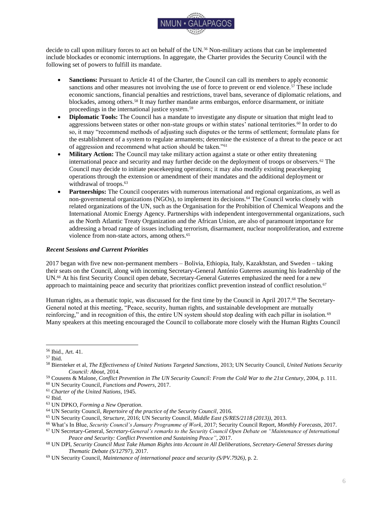

parties to "enhance understanding, coordination and cooperation with regard to climate change induced displacement, migration and planned relocation, where appropriate, at the national, regional and international levels."<sup>181</sup> In 2015, the Conference of the Parties decided in the *Paris Agreement* to establish a task force to develop integrated approaches to "avert, minimize and address displacement related to the adverse impacts of climate change."<sup>182</sup>

The International Panel on Climate Change (IPCC), as one of the advisory bodies to the UNFCCC, is the most authoritative international scientific reference point on climate change.<sup>183</sup> It its latest flagship *5 th Assessment Report*  (2014), it focused for the first time on the concept of human security, defined as a "condition that exists when the vital core of human lives is protected, and when people have the freedom and capacity to live with dignity."<sup>184</sup> Climate change, it is argued, "threatens human security because it undermines livelihoods, compromises culture and individual identity, increases migration that people would have rather avoided, and because it can undermine the ability of states to provide the conditions necessary for human security."<sup>185</sup> Moreover, the IPCC found that "climate change will have significant impacts on forms of migration that compromise human security."<sup>186</sup>

The UN General Assembly has addressed environmental migration and climate change in several ways. As an outcome of the 2013 High-level Dialogue on International Migration and Development, the General Assembly recognized that "international migration is a multidimensional reality [and] cross-cutting phenomenon [with] social, economic and environmental dimensions."<sup>187</sup> The *2030 Agenda for Sustainable Development*, adopted by the General Assembly in 2015, identified forced displacement of people as an eminent threat that is a challenge for humanity, in addition to "[n]atural resource depletion and adverse impacts of environmental degradation, including desertification, drought, land degradation, freshwater scarcity and loss of biodiversity."<sup>188</sup> The 2030 Agenda also described climate change as "one of the greatest challenges of our time" that puts the "survival of many societies ... at risk."<sup>189</sup> With the 2030 Agenda, the international community pledged to realize the 17 Sustainable Development Goals. Goal 10, which is to reduce inequality within and among countries and states, includes migration in its seventh target: "orderly, safe, regular and responsible migration [through] planned and well-managed migration policies."<sup>190</sup> Goal 13 is to take urgent action to combat climate change and its impacts, while acknowledging the UNFCCC as the main policy forum.<sup>191</sup>

The 2016 *New York Declaration for Refugees and Migrants*, adopted by the General Assembly, acknowledged that, while humanity has been on the move since earliest times, for which there are many root causes, some people move "in response to the adverse effects of climate change, natural disasters (some of which may be linked to climate change), or other environmental factors."<sup>192</sup> Furthermore, it called for global approaches and solutions to deal with "political, economic, social, developmental, humanitarian and human rights ramifications" caused by large movements of refugees and migrants.<sup>193</sup> Through the New York Declaration, UN Member States committed to "addressing the drivers that create or exacerbate large movements" through, *inter alia*, "combating environmental degradation and ensuring effective responses to natural disasters and the adverse impacts of climate change."<sup>194</sup>

<sup>181</sup> *United Nations Framework Convention on Climate Change*, 1992; *Cancun Adaptation Framework*, in: Conference of the Parties to the UNFCCC, *Report of the Conference of the Parties on its sixteenth session, held in Cancun from 29 November to 10 December 2010 (FCCC/CP/2010/7/Add.1)*, 2010, pp. 4-19.

<sup>182</sup> Conference of the Parties to the UNFCCC, *Paris Agreement (FCCC/CP/2015/10/Add.1)*, 2015, p. 8.

<sup>183</sup> Born & Mabey, *United we Stand: Reforming the United Nations to Reduce Climate Risk*, 2016, pp. 23-25.

<sup>184</sup> Adger et al., *Human security*, 2014, p. 759.

<sup>185</sup> Ibid., p. 762.

<sup>186</sup> Ibid., p. 758.

<sup>187</sup> UN General Assembly, *Declaration of the High-level Dialogue on International Migration and Development (A/RES/68/4)*, 2014, p. 1.

<sup>188</sup> UN General Assembly, *Transforming our world: the 2030 Agenda for Sustainable Development (A/RES/70/1)*, 2015, para. 14. <sup>189</sup> Ibid.

<sup>190</sup> Ibid., p. 21.

<sup>191</sup> Ibid., p. 23.

<sup>192</sup> UN General Assembly, *New York Declaration for Refugees and Migrants (A/RES/71/1)*, 2016, para. 1.

<sup>193</sup> Ibid., para. 7.

<sup>194</sup> Ibid., para. 43.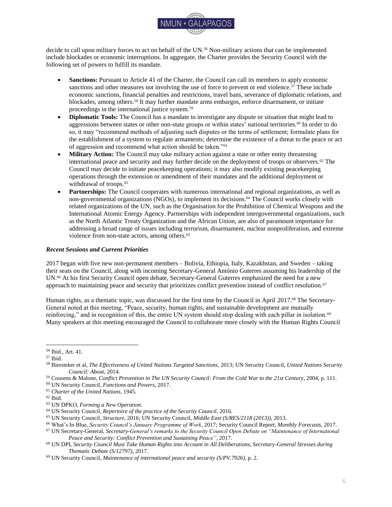

It was also the General Assembly that sought to intensify the UN's efforts to approach climate change as an issue of international peace and security in resolution 63/281 (2009).<sup>195</sup> In his report *Climate change and its possible security implications* (2009), which was requested in resolution 63/281, UN Secretary-General Ban Ki-moon found that climate change acts as a "threat multiplier" for economic, social, and environmental problems.<sup>196</sup> As one key threat identified in the report, migration, on which "climate change is…having a detectable impact…could increase the risk of domestic conflict as well as have international repercussions."<sup>197</sup> The UN Secretary-General, again prompted by the General Assembly, issued another report entitled *In safety and dignity: addressing large movements of refugees and migrants* (2016), which noted that "[l]arge movements of people will continue or possibly increase as a result of violent conflict, poverty, inequality, climate change, disasters and environmental degradation."<sup>198</sup> Moreover, the report lamented that many people become refugees "for reasons that do not fall within the refugee definition in the 1951 Convention, including disasters or the erosion of livelihoods as a result of the adverse impacts of climate change and food insecurity."<sup>199</sup>

Finally, the *Sendai Framework for Disaster Risk Reduction 2015-2030 (2015)*, which was adopted at the Third UN World Conference on Disaster Risk Reduction, is noteworthy as it identifies climate change "as one of the drivers" of risks caused by disasters.<sup>200</sup> Furthermore, the effects of some of those disasters "have increased in intensity and have been exacerbated by climate change."<sup>201</sup> In the Sendai Framework, UN Member States lament that, "between 2008 and 2012, 144 million people were displaced by disasters" and pledge to "build resilience and reduce disaster risk, including…displacement risk."<sup>202</sup>

#### <span id="page-25-0"></span>*Role of the International System*

With resolution 1625 (2005), the UN Security Council acknowledged "the need to adopt a broad strategy of conflict prevention, which addresses the root causes of armed conflict and political and social crises," expressing its intention to move beyond a merely reactive approach towards global threats.<sup>203</sup> Resolution 1625 is regarded a "launching point" by proponents of an increased role for the Security Council in global climate policy, as it allows for a focus on non-traditional international peace and security aspects.<sup>204</sup>

Climate change and its potential adverse impacts on international peace and security became a topic for the Security Council for the first time in 2007.<sup>205</sup> The United Kingdom, as initiator of the debate, argued in a letter to the President of the Security Council (2007), which served as basis for the discussions, that "substantial parts of the world risk being left uninhabitable by rising sea levels, reduced freshwater availability or declining agricultural capacity [which] will exacerbate existing migratory pressures."<sup>206</sup> Moreover, while the United Kingdom acknowledged that migration does not directly lead to conflict, it noted that migration can increase the potential for instability and conflict."<sup>207</sup> In the ensuing debate, the UN Secretary-General argued that environmental migration is a threat to "human security, as well as to international peace and security," and that the phenomenon will intensify "as deserts advance, forests are felled and sea-levels rise."208

The Security Council discussed climate change several times in 2007, 2011, 2013, 2015, 2016, and 2017, yet avoided producing any formal Council decisions or resolutions, with the only exception of presidential statement

<sup>195</sup> UN General Assembly, *Climate change and its possible security implications: Report of the Secretary-General (A/RES/63/281)*, 2009, para. 1.

<sup>196</sup> UN General Assembly, *Climate change and its possible security implications: Report of the Secretary-General (A/64/350)*, 2009, p. 6.

<sup>197</sup> Ibid., pp. 15, 1.

<sup>198</sup> UN General Assembly, *In safety and dignity: Addressing large movements of refugees and migrants (A/70/59)*, 2016, p. 2. <sup>199</sup> Ibid., p. 6.

<sup>200</sup> UN General Assembly, *Sendai Framework for Disaster Risk Reduction 2015-2030 (A/RES/69/283)*, 2015, para. 13.

<sup>201</sup> Ibid., para. 42.

<sup>202</sup> Ibid., paras. 4, 28.

<sup>203</sup> UN Security Council, *Threats to international peace and security (Security Council Summit 2005) (S/RES/1625 (2005))*, 2005.

<sup>204</sup> Warren, *Climate Change and International Peace and Security*, 2015, p. 1.

<sup>205</sup> Mobjörk et al., *Climate-Related Security Risks: Towards an Integrated Approach*, 2016, pp. 28-29.

<sup>206</sup> UN Security Council, *Letter dated 5 April 2007 from the Permanent Representative of the United Kingdom of Great Britain* 

*and Northern Ireland to the United Nations addressed to the President of the Security Council (S/2007/186)*, 2007, p. 3. <sup>207</sup> Ibid.

<sup>208</sup> UN Security Council, *Maintenance of international peace and security: Impact of climate change (S/PV.6587)*, 2011, p. 2.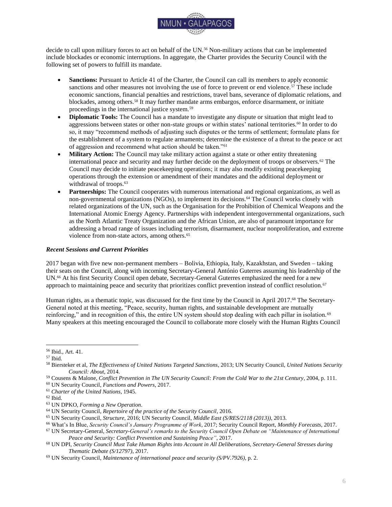

2011/15 (2011).<sup>209</sup> While identifying the UNFCCC as the key instrument for global climate policy, the presidential statement expressed the Council's concern "that possible adverse effects of climate change may, in the long run, aggravate certain existing threats to international peace and security."<sup>210</sup> The Council also noted that "conflict analysis and contextual information" of the "possible security implications of climate change" are important when climate issues drive conflict, challenge the implementation of Council mandates, or endanger peace processes.<sup>211</sup>

Security implications as an effect partially caused by migration flows were the subject of Security Council resolutions 2240 (2015) and 2312 (2016). In resolution 2240 (2015), acting under Chapter VII of the Charter, the Security Council authorized UN Member States to seize vessels that are used for smuggling of migrants and human trafficking off the Libyan coast; and the authorization was extended in resolution 2312 (2016).<sup>212</sup> Without mentioning implications stemming from environmental degradation or climate change, the Council emphasized the need "to strengthen an effective multidimensional response" to smuggling of migrants and human trafficking and "to tackle their root causes."<sup>213</sup>

The UN General Assembly announced in its New York Declaration an international conference in 2018 with the objective of adopting a "global compact for safe, orderly and regular migration."<sup>214</sup> As input for the conference, the Office of the United Nations High Commissioner for Refugees (UNHCR) has been requested to include a proposal for such a compact in its annual report to the General Assembly for consideration at its 73<sup>rd</sup> session in 2018.<sup>215</sup> The New York Declaration also established that UNHCR will develop and initiate a comprehensive refugee response framework (CRRF) as a multi-stakeholder approach, which aims to "ease pressure on the host countries involved, to enhance refugee self-reliance, to expand access to third-country solutions and to support conditions in countries of origin for return in safety and dignity."<sup>216</sup> UNHCR is also a member of the High-Level Committee on Programmes (HLCP) Task Team to develop a UN System Wide Strategic Approach on Climate Change, whose objective is to make the UN system's climate change policy coherent and to link climate action with the Sustainable Development Goals.<sup>217</sup> UNHCR's main work therein is focused on the "Peace and Security and Humanitarian Climate Nexus."<sup>218</sup>

The Conference of the Parties to the UNFCCC decided in the *Paris Agreement* to establish a task force on displacement, which held its first meeting in May 2017.<sup>219</sup> Its work plan includes, in an effort to enhance international recognition of adverse impacts of climate change, "[m]apping of how climate and displacement is included in National Adaptation Plans (NAPs), Nationally Determined Contributions (NDCs), national communications, and in other relevant policy agendas."<sup>220</sup> Contributors to the task force include the UN Development Programme (UNDP) and the International Organization for Migration (IOM), among others.<sup>221</sup>

The IOM is the eminent international reference point for research and statistics on migration and displacement, in addition to its operational activities.<sup>222</sup> The IOM also collaborates with the Platform on Disaster Displacement (PDD), which works to improve the protection of people displaced across borders as a result of climate change and disasters.<sup>223</sup> The UN Environment Programme (UNEP), which is contributing to the PDD as well, is also involved in

<sup>209</sup> UN Security Council, *Maintenance of international peace and security (S/PRST/2011/15)*, 2011.

<sup>210</sup> Ibid.

<sup>211</sup> Ibid.

<sup>212</sup> UN Security Council, *Maintenance of international peace and security (S/RES/2240 (2015))*; UN Security Council, *Maintenance of international peace and security (S/RES/2312 (2016))*, 2016.

<sup>213</sup> Ibid.

<sup>214</sup> UN General Assembly, *New York Declaration for Refugees and Migrants (A/RES/71/1)*, 2016, para. 63.

<sup>215</sup> UNHCR, *Towards a global compact on refugees*, 2017.

<sup>216</sup> UN General Assembly, *New York Declaration for Refugees and Migrants (A/RES/71/1)*, 2016, Annex 1, para. 18; UNHCR, *Towards a global compact on refugees*, 2017.

<sup>217</sup> UNHCR, *Contribution to the fifteenth coordination meeting on international migration (UN/POP/MIG-15/CM/2017/14)*, p. 4. <sup>218</sup> Ibid.

<sup>219</sup> UNFCCC, *Summary of proceedings of the first meeting of the Task Force on Displacement*, 2017.

<sup>220</sup> Ibid., p. 4.

<sup>221</sup> Ibid.

<sup>222</sup> IOM, *Migration, Climate Change and the Environment: Operational Activities*, 2017; IOM, *Migration, Environment and Climate Change: Assessing the Evidence*, 2009.

<sup>223</sup> The Platform on Disaster Displacement, *Our Response*.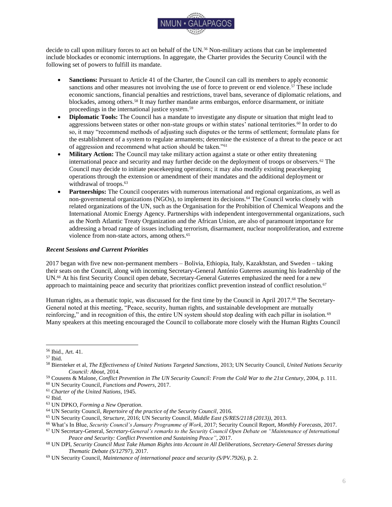

international efforts to address migration and displacement.<sup>224</sup> Along with the UN Office for the Coordination of Humanitarian Affairs (OCHA), the UN University, the IOM, and the Permanent Interstate Committee for Drought Control in the Sahel (CILSS), UNEP co-authored the noteworthy report *Livelihood Security: Climate Change, Migration and Conflict in the Sahel* (2011), which investigated the implications of climate change for livelihoods, conflict, and migration in the Sahel region.<sup>225</sup> This report explains the interlinkage between environmental migration and international peace and security.<sup>226</sup> For the 2017 version of its flagship report *Frontiers*, UNEP has announced that it will feature environmental displacement as one of the "emerging issues."<sup>227</sup>

Warning that "UN migration agencies are only just beginning to understand the climate change implications on their operations", E3G, a civil society coalition, has contributed to the international debate of the topic.<sup>228</sup> In *United we stand: Reforming the UN to reduce climate risk*, it calls for stronger UN involvement in global climate and migration policy, such as through an active UN Security Council role.<sup>229</sup> Other civil society organizations involved in the debate include the Civil Society Platform for Peacebuilding and Statebuilding, as well as the Global Forum on Migration & Development.<sup>230</sup>

#### <span id="page-27-0"></span>*Implications of Environmental Migration for Peace and Security*

The term "environmental refugee" was first coined in a UNEP publication written in 1985.<sup>231</sup> However, the "multidirectional associations between environmental change, human security, conflict and migration" complicate the task of finding a unified explanation for the exact causes and effects of environmental migration, as well as its definition.<sup>232</sup> Nevertheless, the IOM works with the following definition:

"Environmental migrants are persons or groups of persons who, for compelling reasons of sudden or progressive changes in the environment that adversely affect their lives or living conditions, are obliged to leave their habitual homes, or choose to do so, either temporarily or permanently, and who move either within their country or abroad."233

This definition is not universally accepted; for example, the UN Secretary-General notes in his report *Climate change and its possible security implications* (2009): "Presently, no internationally accepted term or legal framework exists for people who migrate voluntarily or are forced to move for environmental reasons. Although terms such as 'environmental refugee' or 'climate change refugee' are commonly used, they have no legal basis."<sup>234</sup> The scientific debate has noted and expanded upon this problem. Mayer (2016), for example, finds that it is "highly problematic to attribute an individual migrant to climate change," as "climate change can have virtually any consequence on any form of migration."<sup>235</sup> Rüttinger et al. (2015) state that "[m]ethodologically, it is very difficult, if not impossible, to isolate the different drivers and triggers of migration."<sup>236</sup> It is also noteworthy that environmental migration is not solely linked to the impacts of climate change, although it may play an important factor. Migration can also be triggered or affected by man-made environmental degradation and the destruction of

<sup>224</sup> UNEP, *Contribution to the fifteenth coordination meeting on international migration (UN/POP/MIG-15CM/2017/2)*, 2017, p. 3.

<sup>225</sup> UNEP, *Livelihood Security: Climate Change, Migration and Conflict in the Sahel*, 2011. <sup>226</sup> Ibid.

<sup>227</sup> UNEP, *Contribution to the fifteenth coordination meeting on international migration (UN/POP/MIG-15CM/2017/2)*, 2017, p. 4.

<sup>228</sup> Born & Mabey, *United we Stand: Reforming the United Nations to Reduce Climate Risk*, 2016, p. 35.

<sup>229</sup> Ibid.

<sup>230</sup> Civil Society Platform for Peacebuilding and Statebuilding, *Peace and Migration: Realising the links*, 2016; Global Forum on Migration & Development, *Link with the Civil Society*, 2017.

<sup>231</sup> UNEP, *Contribution to the fifteenth coordination meeting on international migration (UN/POP/MIG-15CM/2017/2)*, 2017, p.  $\mathcal{D}$ 

<sup>232</sup> IOM, *Discussion Note: Migration and the Environment (MC/INF/288)*, 2007, p. 2.

<sup>233</sup> Ibid., pp. 2-3.

<sup>234</sup> UN General Assembly, *Climate change and its possible security implications: Report of the Secretary-General (A/64/350)*, 2009, p. 16.

<sup>235</sup> Mayer, *The Concept of Climate Migration: Advocacy and its Prospects*, 2016, pp. 17, 24.

<sup>236</sup> Rüttinger et al., *A New Climate for Peace: Taking Action on Climate and Fragility Risk*, 2015, p. 29.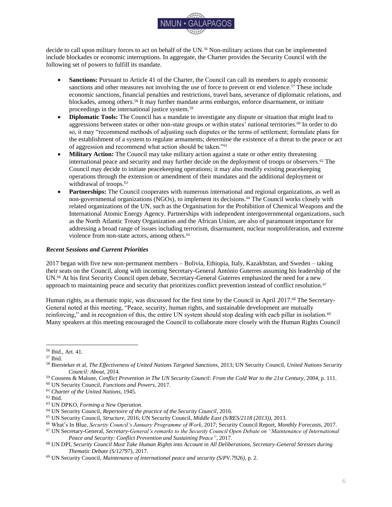

natural ecosystems, for example through pollution or the "misuse of resources, poor planning, poor infrastructure and poor governance and monitoring."<sup>237</sup>

Because of the lack of a definition and methodological precision, there are no reliable estimates of the number of people who qualify as environmental migrants.<sup>238</sup> The Internal Displacement Monitoring Centre estimates that "since 2008, an average of 26.4 million people per year have been displaced from their homes by disasters brought on by natural hazards."<sup>239</sup> The IOM states that in 2008, 20 million persons have been "displaced by extreme weather events," and refers to forecasts that "vary from 25 million to 1 billion environmental migrants by 2050."<sup>240</sup>

Scientific research lists five scenarios, or archetypes, of displacement induced by climate change:

- "Sudden-onset disasters causing mostly internal, but sometimes cross-border displacements: Flooding or cyclones, for instance, can induce populations to move away from affected territories, generally on a temporary basis.
- Slow-onset environmental degradation deteriorating the conditions of life and inducing both internal and international economic migration: Sea-level rise and the consequences of increasing average temperatures (drought, desertification, land degradation) can generally be conceived as a migration "push," in particular through affecting economic conditions at the place of origin.
- The specific case of "sinking" small island states, causing international economic migration and, possibly, evacuation: Absent innovative measures of adaptation, low-lying islands or archipelagos such as the Maldives, Kiribati and Tuvalu will become unable to accommodate their population, in the long term, as a consequence of sea-level rise.
- The designation of certain areas as high-risk zones too dangerous for human habitation, leading to the evacuation of the resident population: Such measures are often taken, in particular, in flood plains or in the vicinity of rivers.
- Unrest, violence or conflicts exacerbated by an increased competition for natural resources leading to flows of refugees or internally displaced persons: Resource-scarce regions are most likely to be affected, when tensions are already in place in respect of access to limited natural resources."<sup>241</sup>

This list could be continued with more ambiguous scenarios, and include "pull" factors towards regions with new economic opportunities thanks to positive impacts of climate change, displacements and resettlements due to projects that are intended to mitigate or adapt to climate change, or changes in human settlement patterns because of changing economic opportunities resulting from climate change mitigation policies (for example, people moving away from regions specialized in coal mining, as other forms of energy production become more dominant).<sup>242</sup>

The linkage between migration and international peace and security is, similarly, not entirely unambiguous:

- Citing acts of extremism, violence, crime, or international terrorism committed by migrants and members of minority groups, there are some groups that claim international migration is a threat to peace and security.<sup>243</sup>
- Irregular cross-border migration (movements "outside of the regulatory norms of the sending, transit, or receiving countries") can be regarded as a threat to state sovereignty and security.<sup>244</sup>
- $\bullet$  Migration can be the result or side effect of the activities of organized criminal networks.<sup>245</sup>

 $\overline{a}$ 

<sup>243</sup> Global Commission on International Migration, *Migration in an interconnected world: New directions for action*, 2005, p. 8. <sup>244</sup> Ibid.; IOM, *Key Migration Terms*.

<sup>237</sup> Renaud et al., *Environmental Degradation and Migration*, 2008, pp. 2-3.

<sup>238</sup> Ibid., pp. 1-4.

<sup>239</sup> Internal Displacement Monitoring Centre, *Global Estimates 2015: People displaced by disasters*, 2015, p. 11.

<sup>240</sup> IOM, *Migration, Climate Change and the Environment: A Complex Nexus*, 2017.

<sup>241</sup> IOM, *Migration, Environment and Climate Change: Assessing the Evidence*, 2009; Kälin, *Conceptualizing Climate-Induced Displacement*, 2010, quoted in Mayer, *The Concept of Climate Migration: Advocacy and its Prospects*, 2016, pp. 21- 22.

<sup>242</sup> Mayer, *The Concept of Climate Migration: Advocacy and its Prospects*, 2016, pp. 22-23.

<sup>245</sup> INTERPOL & UNEP, *Strategic Report: Environment, Peace and Security – A Convergence of Threats*, 2016, p. 28.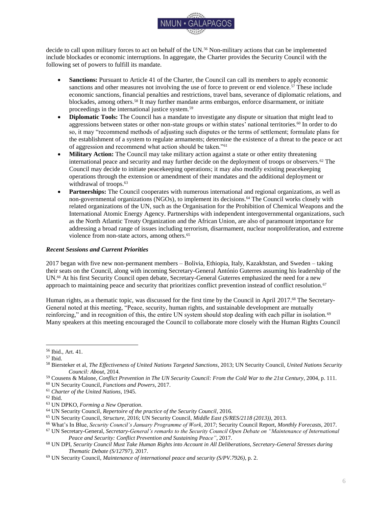

• Of 103 ethnic conflicts between 1945 and 2005, 32 were characterized by violence between members of ethnic groups who consider themselves indigenous on one side and recent migrants on the other side.<sup>246</sup>

On the other hand, migration can have positive effects on political and economic security where it helps economic development, increasing life quality and human security, for example by mitigating shortages in the labor force of receiving societies.<sup>247</sup> Diaspora groups, as a direct result of migration, can also have positive effects on their regions of origin, most prominently in the form of transfer of capital (remittances) or knowledge.<sup>248</sup> A more critical perspective, however, points out that diaspora migrants can play an important role in initiating, escalating, or prolonging conflicts in their regions of origin, or even export those conflicts to other regions.<sup>249</sup>

#### <span id="page-29-0"></span>*Case Study: Climate Change as a Root Cause for the Syrian Refugee Crisis*

In Syria, global warming played a key role in generating the conditions that precipitated the civil war behind the refugee crisis.<sup>250</sup> Between 2006 and 2011, up to 60% of Syria's land suffered the worst long-term drought ever recorded in the region, combined with a widespread phenomenon of crop failures. <sup>251</sup> In the northeast of the country, herders lost an average of "85% of their livestock, affecting 1.3 million people."<sup>252</sup> According to a study included in the 2011 *Global Assessment Report on Disaster Risk Reduction*, 75% of Syrian families dependent on agriculture suffered total crop failure, and one million Syrians were left food-insecure.<sup>253</sup> In 2010, the United Nations Special Rapporteur on the right to food, Olivier De Schutter, reported that, overall, the drought drove two to three million people into extreme poverty.<sup>254</sup>

The loss of livelihoods forced farmers and agriculture-dependent families to migrate to urban centers, putting pressure on cities' basic services and infrastructure, while also increasing unemployment.<sup>255</sup> This posed a serious economic concern and a growing security challenge for the Syrian population, especially when some cities were already coping with large influxes of Iraqi refugees who fled their country since the 2003 military invasion led by the Unites States of America.<sup>256</sup> The situation worsened as the government heavily subsidized "water-intensive wheat and cotton farming, encouraging inefficient irrigation techniques."<sup>257</sup> The consequences of the drought were therefore aggravated by government resource mismanagement.<sup>258</sup>

Evidence suggests that along with other socioeconomic and political factors, the Syrian uprising was prompted by "the impact of climate change on water and crop production."<sup>259</sup> A report from the National Oceanic and Atmospheric Administration (NOOA) of the United States Department of Commerce advised that the drought in Syria was clearly linked to climate change, and that if the present rates of global greenhouse gas emissions remain, "yields of rainfed crops in the country may decline between 20 and 57 percent from 2010 to 2050."<sup>260</sup> Roughly 1.5 million Syrians were displaced to urban centers as a result of the five-year drought.<sup>261</sup> In turn, this massive and

<sup>246</sup> UN General Assembly, *Climate change and its possible security implications: Report of the Secretary-General (A/64/350)*, 2009, p. 17.

<sup>247</sup> Global Commission on International Migration, *Migration in an interconnected world: New directions for action*, 2005, p. 8. <sup>248</sup> Ibid., p. 16.

<sup>249</sup> German Advisory Council on Global Change, *Climate Change as a Security Risk*, 2008, p. 121.

<sup>250</sup> Bawden, Refugee crisis: Is climate change affecting mass migration, *The Independent*, 2015.

<sup>251</sup> Femia & Werrell, Syria: Climate Change, Drought and Social Unrest, *The Center for Climate & Security*, 2012.

<sup>252</sup> Ibid.

<sup>253</sup> Ibid.

<sup>254</sup> Worth, Earth Is Parched Where Syrian Farms Thrived, *The New York Times*, 2010.

<sup>255</sup> Rüttinger et al., *A New Climate for Peace: Taking Action on Climate and Fragility Risk*, 2015, p. 30.

<sup>256</sup> Femia & Werrell, Syria: Climate Change, Drought and Social Unrest, *The Center for Climate & Security*, 2012.

<sup>257</sup> Rüttinger et al., *A New Climate for Peace: Taking Action on Climate and Fragility Risk*, 2015, p. 30.

<sup>258</sup> Born & Mabey, *United We Stand, Reforming the United Nations to Reduce Climate Risk*, 2016, p. 14.

<sup>259</sup> Rüttinger et al., *A New Climate for Peace: Taking Action on Climate and Fragility Risk*, 2015, p. 30.

<sup>260</sup> Femia & Werrell, Syria: Climate Change, Drought and Social Unrest, *The Center for Climate & Security*, 2012.

<sup>261</sup> Stokes, The Drought That Preceded Syria's Civil War Was Likely the Worst in 900 Years, *VICE News*, 2016.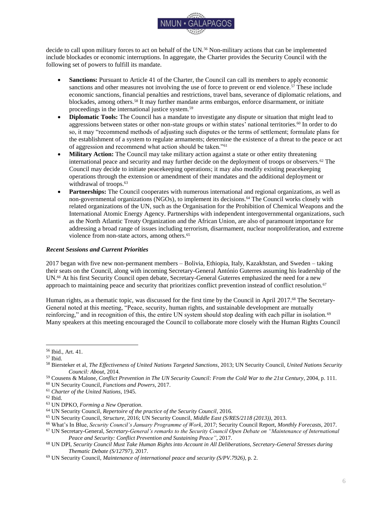

involuntary rural-to-urban migration led to the outbreak of conflict in Syria, suggesting a clear climate-migrationconflict pathway in the country.<sup>262</sup>

#### <span id="page-30-0"></span>*Potential Security Council Actions*

In topic I, "The Impact of Climate Change on Peace and Security," it was shown how the Security Council could hypothetically recognize climate change and its adverse consequences, such as migration and displacement, as a threat to international peace and security, and subsequently become active based on its mandate granted in the *Charter of the United Nations.* It has also been shown that some negative consequences of migration have led to action by the Security Council, for example in the form of resolutions 2240 (2015) and 2312 (2016).<sup>263</sup> Similarly, if the Council decides to recognize and act upon environmental migration, based on Article 39 of the *Charter*, it could:

- Decide to investigate the issue, potentially establishing an internationally accepted understanding of root causes, manifestations, consequences, and action against negative effects of environmental migration (Article 34);
- Make declarations, recommendations, or condemnations to raise awareness of the issue (Article 38);
- Call upon states to comply with any provisional measures to prevent a situation from becoming worse, such as, for example, reducing greenhouse gas emissions, the main driver of global warming (Article 40); or
- Intervene with economic and diplomatic sanctions or even the use of military force (Articles 41 and 42).<sup>264</sup>

To put these potential actions into context, the Security Council could request in-depth and regular analysis and reporting from authoritative international institutions in migration, climate, and security policy, such as the IOM or the UN Secretary-General (Article 34). It could furthermore pass resolutions or declarations that clearly describe the problem and outline potential avenues for overcoming it, with the intent of spearheading global discussions and actions related to environmental migration (Article 38). Based on its *de facto* competence as an international lawmaking body, the Council could also establish a binding legal framework for all UN Member States, based on existing or new norms, that regulates environmental migration, if there is a clear connection to the maintenance of peace and security (Article 40).

A hard compliance policy, through economic and diplomatic sanctions (Article 41), could see the Council imposing sanctions against products, practices, organizations, or even governments to prevent, control, or undo environmental degradation that would otherwise lead to negative effects on migration patterns and international security.<sup>265</sup> The ultimate possible action is, in accordance with Article 42 of the Charter, the use of military force.<sup>266</sup> One possible precedent could be the concept of Responsibility to Protect (R2P), unanimously endorsed by Member States as part of the *2005 World Summit Outcome*, which justifies military interventions by the United Nations to prevent genocide, war crimes, ethnic cleansing, and crimes against humanity.<sup>267</sup> Environmental crimes with adverse effects on the climate, human migration, or international peace and security more generally could be potentially included in R2P and open the door to military action.<sup>268</sup> There are, however, widely-accepted limits in terms of feasibility and acceptance of military interventions: They are typically themselves environmentally harmful and an obvious push factor for migration and, moreover, require to a very high degree the international community's acceptance and perceived legitimacy of the Council's actions.<sup>269</sup> Ultimately, military escalation of global environmental and migration policy by the UN Security Council would very likely do considerable harm to the general spirit of cooperation and peaceful settlement based on international law.<sup>270</sup>

<sup>269</sup> Ibid.

<sup>262</sup> Burrows & Kinney, *Exploring the Climate Change, Migration and Conflict Nexus*, 2016, p. 1; Bhatiya, *A Post-Paris Agenda for Climate Security at the UN*, 2016, p. 5.

<sup>263</sup> UN Security Council, *Maintenance of international peace and security (S/RES/2240 (2015))*; UN Security Council, *Maintenance of international peace and security (S/RES/2312 (2016))*, 2016.

<sup>264</sup> Warren, *Forced Migration After Paris COP21*, 2016, pp. 42-45.

<sup>265</sup> Voigt, *Security in a "Warming World"*, 2009, pp. 307-308.

<sup>266</sup> Warren, *Forced Migration After Paris COP21*, 2016, pp. 42-45.

<sup>267</sup> UN General Assembly, *2005 World Summit Outcome (A/RES/60/1)*, 2005, paras. 138-140.

<sup>268</sup> Scott, *Implications of climate change for the UN Security Council*, 2015, p. 1322.

<sup>270</sup> Voigt, *Security in a "Warming World"*, 2009, p. 306.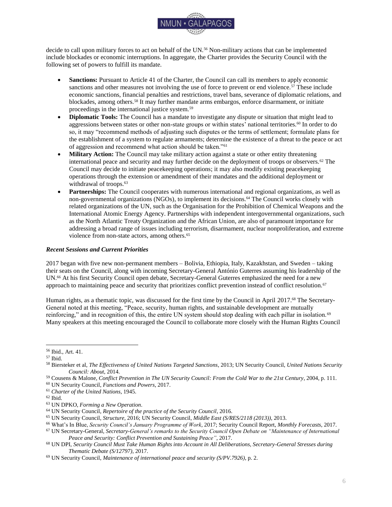

#### <span id="page-31-0"></span>*Conclusion*

Sudden or progressive changes in the environment, often because of global climate change, are affecting human migration patterns and increasing the number of migrants. This results in growing concerns regarding adverse consequences for international peace and security.<sup>271</sup> A wide variety of international organizations deal with climate change or migration or security policy; yet, rarely are these topics considered as one interconnected problem nexus.<sup>272</sup> The Security Council has so far remained a bystander in the debate of environmental migration, even though evidence in international studies and cases, such as Syria, suggests that there is a need to act.<sup>273</sup>

#### <span id="page-31-1"></span>*Further Research*

 $\overline{a}$ 

It is advisable for delegates to focus their research and policy formulation on the following key questions: How can the phenomenon "environmental migration" best be defined and integrated into the international refugee and migration policy framework? In what forms can migration become a tangible concern for international peace and security? How could the Security Council become active to manage migration and mitigate involuntary displacement? How can the Security Council cooperate with key international organizations and Member States with a stake in the environmental migration-security nexus?

# **Annotated Bibliography**

<span id="page-31-2"></span>Adger, W. N., et al. (2014). Human security. In C. B. Field et al. (Eds.), *Climate Change 2014: Impacts, Adaptation, and Vulnerability. Part A: Global and Sectoral Aspects. Contribution of Working Group II to the Fifth Assessment Report of the Intergovernmental Panel on Climate Change* (pp. 755-791). Cambridge, United Kingdom, and New York, United States of America: Cambridge University Press. Retrieved 7 June 2017 from: [https://www.ipcc.ch/pdf/assessment-report/ar5/wg2/WGIIAR5-Chap12\\_FINAL.pdf](https://www.ipcc.ch/pdf/assessment-report/ar5/wg2/WGIIAR5-Chap12_FINAL.pdf)

*The Intergovernmental Panel on Climate Change is the UN's scientific advisory body on climate change and can be regarded as the most widely accepted international authority in its field. The IPCC compiles and analyzes relevant scientific findings as basis for its periodical reports, most importantly the flagship Assessment Reports. This chapter, part of the latest 5th Assessment Report, explores in depth the impacts of climate change on human security and is thus recommended as an excellent source for researching the climate change-migration nexus.*

Burrows, K., & P. L. Kinney. (2016). Exploring the Climate Change, Migration and Conflict Nexus. *International Journal of Environmental Research and Public Health*, 13 (4): 443. Retrieved 7 June 2017 from: <https://www.ncbi.nlm.nih.gov/pmc/articles/PMC4847105/>

*The authors of this journal article are researchers based at the private Columbia University in New York, United States of America. In their article, they discuss the uncertainties surrounding the nexus between climate change, migration, and conflict. This source will serve delegates as an up-to-date compact analysis for the scope of the topic at hand as well as an overview of existing literature.*

German Advisory Council on Global Change (WBGU). (2008). *Climate Change as a Security Risk*. London, United Kingdom, and Sterling, United States of America: Earthscan. Retrieved 8 June 2017 from: [http://www.wbgu.de/fileadmin/user\\_upload/wbgu.de/templates/dateien/veroeffentlichungen/hauptgutachten/jg2007/](http://www.wbgu.de/fileadmin/user_upload/wbgu.de/templates/dateien/veroeffentlichungen/hauptgutachten/jg2007/wbgu_jg2007_engl.pdf) [wbgu\\_jg2007\\_engl.pdf](http://www.wbgu.de/fileadmin/user_upload/wbgu.de/templates/dateien/veroeffentlichungen/hauptgutachten/jg2007/wbgu_jg2007_engl.pdf)

*The WBGU is an independent, scientific advisory body to the German government, and regularly publishes flagship reports on changes in the global environment. This flagship report explores the security implications of climate change, and has been widely cited in relevant academic publications. This source is recommended as an eminent and comprehensive platform for researching and formulating policy.*

<sup>271</sup> Scott, *Implications of climate change for the UN Security Council*, 2015, pp. 1325-1326.

<sup>272</sup> Rüttinger et al., *A New Climate for Peace: Taking Action on Climate and Fragility Risk*, 2015, pp. 77-79.

<sup>273</sup> Bhatiya, *A Post-Paris Agenda for Climate Security at the UN*, 2016, p. 5.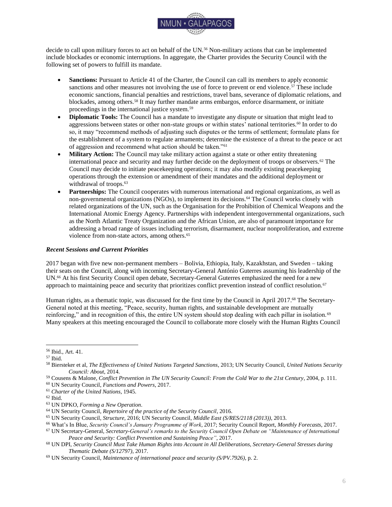

United Nations, General Assembly, Sixty-fourth session. (2009). *Climate change and its possible security* 

*implications: Report of the Secretary-General (A/64/350).* Retrieved 5 June 2017 from:<http://undocs.org/A/64/350> *Based on the General Assembly's resolution 63/281 on "Climate change and its possible security implications" (2009), the Secretary-General published this comprehensive report. It outlines key channels how climate change, essentially a "threat multiplier," may affect security – among them is environmental migration. The report is worth investigating, as it serves as a summary of the collective knowledge and policies of the UN at the highest level.*

United Nations, General Assembly, Seventy-first session. (2016). *New York Declaration for Refugees and Migrants (A/RES/71/1)*. Retrieved 8 June 2017 from:<http://undocs.org/A/RES/71/1>

*The New York Declaration is a landmark commitment by the international community to assume common responsibility, reduce human suffering, and outline cooperative action to cope with large movements of refugees and migrants. Adopted by all UN Member States, it serves as a guiding document for all future measures and policies regarding human mobility. Delegates for the Security Council should make sure to refer to this declaration to guide their research and policymaking.*

# **Bibliography**

<span id="page-32-0"></span>Adger, W. N., et al. (2014). Human security. In C. B. Field et al. (Eds.), *Climate Change 2014: Impacts, Adaptation, and Vulnerability. Part A: Global and Sectoral Aspects. Contribution of Working Group II to the Fifth Assessment Report of the Intergovernmental Panel on Climate Change* (pp. 755-791). Cambridge, United Kingdom, and New York, United States of America: Cambridge University Press. Retrieved 7 June 2017 from: [https://www.ipcc.ch/pdf/assessment-report/ar5/wg2/WGIIAR5-Chap12\\_FINAL.pdf](https://www.ipcc.ch/pdf/assessment-report/ar5/wg2/WGIIAR5-Chap12_FINAL.pdf)

Bawden, T. (2015, September 7). Refugee crisis: Is climate change affecting mass migration? *The Independent*. Retrieved 16 July 2017 from: [http://www.independent.co.uk/news/world/refugee-crisis-is-climate-change-affecting](http://www.independent.co.uk/news/world/refugee-crisis-is-climate-change-affecting-mass-migration-10490434.html)[mass-migration-10490434.html](http://www.independent.co.uk/news/world/refugee-crisis-is-climate-change-affecting-mass-migration-10490434.html)

Bhatiya, N. (2016). *A Post-Paris Agenda for Climate Security at the UN*. The Century Foundation. Retrieved 6 June 2017 from:<https://tcf.org/content/report/a-post-paris-agenda-for-climate-security-at-the-un/>

Born, C., & N. Mabey. (2016). *United we Stand: Reforming the United Nations to Reduce Climate Risk*. E3G. Retrieved 12 July 2017 from: [https://www.e3g.org/docs/United\\_We\\_Stand.pdf](https://www.e3g.org/docs/United_We_Stand.pdf)

Burrows, K., & P. L. Kinney. (2016). Exploring the Climate Change, Migration and Conflict Nexus. *International Journal of Environmental Research and Public Health*, 13 (4): 443. Retrieved 7 June 2017 from: <https://www.ncbi.nlm.nih.gov/pmc/articles/PMC4847105/>

*Charter of the United Nations*. (1945). Retrieved 8 June 2017 from[:](http://www.un.org/en/documents/charter/index.shtml) <http://www.un.org/en/documents/charter/index.shtml>

Civil Society Platform for Peacebuilding and Statebuilding. (2016). *Peace and Migration: Realising the links* [Fact Sheet]. Retrieved 16 July 2017 from: <http://www.cspps.org/documents/130616053/0/CSPPS+Peace+and+Migration+Statement.pdf>

Conference of the Parties to the United Nations Framework Convention on Climate Change, Sixteenth session. (2010). *Report of the Conference of the Parties on its sixteenth session, held in Cancun from 29 November to 10 December 2010 (FCCC/CP/2010/7/Add.1)*. Retrieved 16 July 2017 from: <http://unfccc.int/resource/docs/2010/cop16/eng/07a01.pdf>

Conference of the Parties to the United Nations Framework Convention on Climate Change, Twenty-first session. (2015). *Paris Agreement*. Retrieved 8 June 2017 from:<http://undocs.org/FCCC/CP/2015/10/Add.1>

*Convention Relating to the Status of Refugees.* (1951). Retrieved 8 June 2017 from: <http://www.unhcr.org/3b66c2aa10.html>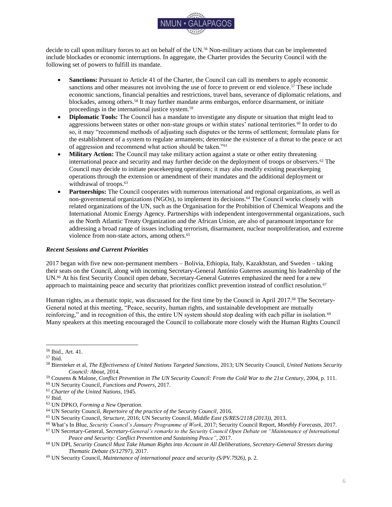

Femia, F., & C. Werrell. (2012, February 29). Syria: Climate Change, Drought and Social Unrest. *The Center for Climate & Security*. Retrieved 16 July 2017 from: [https://climateandsecurity.org/2012/02/29/syria-climate-change](https://climateandsecurity.org/2012/02/29/syria-climate-change-drought-and-social-unrest/)[drought-and-social-unrest/](https://climateandsecurity.org/2012/02/29/syria-climate-change-drought-and-social-unrest/)

German Advisory Council on Global Change (WBGU). (2008). *Climate Change as a Security Risk*. London, United Kingdom, and Sterling, United States of America: Earthscan. Retrieved 8 June 2017 from: [http://www.wbgu.de/fileadmin/user\\_upload/wbgu.de/templates/dateien/veroeffentlichungen/hauptgutachten/jg2007/](http://www.wbgu.de/fileadmin/user_upload/wbgu.de/templates/dateien/veroeffentlichungen/hauptgutachten/jg2007/wbgu_jg2007_engl.pdf) wbgu jg2007 engl.pdf

Global Commission on International Migration (GCIM). (2005). *Migration in an interconnected world: New directions for action*. Retrieved 16 July 2017 from: [https://www.iom.int/jahia/webdav/site/myjahiasite/shared/shared/mainsite/policy\\_and\\_research/gcim/GCIM\\_Report](https://www.iom.int/jahia/webdav/site/myjahiasite/shared/shared/mainsite/policy_and_research/gcim/GCIM_Report_Complete.pdf) [\\_Complete.pdf](https://www.iom.int/jahia/webdav/site/myjahiasite/shared/shared/mainsite/policy_and_research/gcim/GCIM_Report_Complete.pdf)

Global Forum on Migration & Development. (2017). *Link with the Civil Society* [Website]. Retrieved 16 July 2017 from[: http://www.gfmd.org/process/civil-society](http://www.gfmd.org/process/civil-society)

Internal Displacement Monitoring Centre. (2015). *Global Estimates 2015: People displaced by disasters*. Retrieved 16 July 2017 from: [http://www.internal-displacement.org/assets/library/Media/201507-globalEstimates-](http://www.internal-displacement.org/assets/library/Media/201507-globalEstimates-2015/20150713-global-estimates-2015-en-v1.pdf)[2015/20150713-global-estimates-2015-en-v1.pdf](http://www.internal-displacement.org/assets/library/Media/201507-globalEstimates-2015/20150713-global-estimates-2015-en-v1.pdf)

International Police Organization (INTERPOL) & United Nations Environment Programme. (2016). *Strategic Report: Environment, Peace and Security – A Convergence of Threats*. Retrieved 12 July 2017 from: [http://wedocs.unep.org/bitstream/handle/20.500.11822/17008/environment\\_peace\\_security.pdf](http://wedocs.unep.org/bitstream/handle/20.500.11822/17008/environment_peace_security.pdf)

International Organization for Migration. (n.d.). *Key Migration Terms* [Website]. Retrieved 14 August 2017 from: <https://www.iom.int/key-migration-terms>

International Organization for Migration. (2007). *Discussion Note: Migration and the Environment (MC/INF/288)*. Retrieved 16 July 2017 from: [https://www.iom.int/jahia/webdav/shared/shared/mainsite/about\\_iom/en/council/94/MC\\_INF\\_288.pdf](https://www.iom.int/jahia/webdav/shared/shared/mainsite/about_iom/en/council/94/MC_INF_288.pdf)

International Organization for Migration. (2009). *Migration, Environment and Climate Change: Assessing the Evidence*. Retrieved 16 July 2017 from: [http://publications.iom.int/system/files/pdf/migration\\_and\\_environment.pdf](http://publications.iom.int/system/files/pdf/migration_and_environment.pdf)

International Organization for Migration. (2017). *Migration, Climate Change and the Environment: A Complex Nexus* [Website]. Retrieved 16 July 2017 from:<https://www.iom.int/complex-nexus>

International Organization for Migration. (2017). *Migration, Climate Change and the Environment: Operational Activities* [Website]. Retrieved 16 July 2017 from:<https://www.iom.int/operational-activities>

Mayer, B. (2016). *The Concept of Climate Migration: Advocacy and its Prospects*. Cheltenham, United Kingdom: Edward Elgar Publishing. Retrieved 8 June 2017 from: [https://books.google.com.ec/books?id=iPR-](https://books.google.com.ec/books?id=iPR-DQAAQBAJ&printsec=frontcover)[DQAAQBAJ&printsec=frontcover](https://books.google.com.ec/books?id=iPR-DQAAQBAJ&printsec=frontcover)

McAdam, J. (2012). *Climate Change, Forced Migration, and International Law*. Oxford, United Kingdom: Oxford University Press.

McAdam, J. (2016). Climate Change-related Displacement of Persons. In K. R. Gray et al. (Eds.), *The Oxford Handbook of International Climate Change Law* (pp. 519-542). Oxford, United Kingdom: Oxford University Press. Retrieved 7 June 2017 from:

<http://www.oxfordhandbooks.com/view/10.1093/law/9780199684601.001.0001/oxfordhb-9780199684601-e-23>

McLeman, R. (2011). *Climate change, migration and critical international security considerations*. International Organization for Migration. Retrieved 8 June 2017 from: [http://www.iom.int/jahia/webdav/shared/shared/mainsite/about\\_iom/en/council/94/MC\\_INF\\_288.pdf](http://www.iom.int/jahia/webdav/shared/shared/mainsite/about_iom/en/council/94/MC_INF_288.pdf)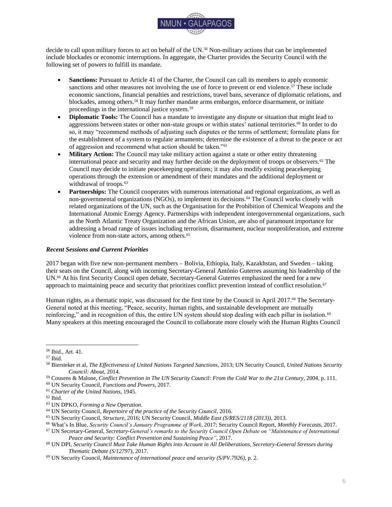

Mobjörk, M., et al. (2016). *Climate-Related Security Risks: Towards an Integrated Approach*. Stockholm International Peace Research Institute (SIPRI). Retrieved 12 July 2017 from: <https://www.sipri.org/sites/default/files/Climate-related-security-risks.pdf>

Office of the United Nations High Commissioner for Refugees. (2017). *Climate Change and Disaster Displacement*. UNHCR Quick Guide, Climate Change and Disaster Displacement. Retrieved on 16 July 2017 from: <http://www.unhcr.org/protection/environment/591d46907/quick-guide-climate-change-disaster-displacement.html>

Office of the United Nations High Commissioner for Refugees. (2017). *Contribution to the fifteenth coordination meeting on international migration (UN/POP/MIG-15/CM/2017/14)*. Retrieved 16 July 2017 from: [http://www.un.org/en/development/desa/population/migration/events/coordination/15/documents/papers/14\\_UNHC](http://www.un.org/en/development/desa/population/migration/events/coordination/15/documents/papers/14_UNHCR_nd.pdf) [R\\_nd.pdf](http://www.un.org/en/development/desa/population/migration/events/coordination/15/documents/papers/14_UNHCR_nd.pdf)

Office of the United Nations High Commissioner for Refugees. (2017). *Towards a global compact on refugees: key elements of the roadmap* [Fact Sheet]*.* Retrieved on 16 July 2017 from: [http://www.unhcr.org/en](http://www.unhcr.org/en-us/events/conferences/58d135517/global-compact-on-refugees-roadmap.html)[us/events/conferences/58d135517/global-compact-on-refugees-roadmap.html](http://www.unhcr.org/en-us/events/conferences/58d135517/global-compact-on-refugees-roadmap.html)

The Platform on Disaster Displacement. (n.d.). *Our Response* [Website]. Retrieved 16 July 2017 from: [http://disasterdisplacement.org/the-platform/our-response](http://disasterdisplacement.org/the-platform/our-response/)

*Protocol Relating to the Status of Refugees.* (1967). Retrieved 8 June 2017 from[:](http://undocs.org/A/RES/2263(XXII)) <http://www.unhcr.org/3b66c2aa10.html>

Renaud, F., et al. (2008). *Environmental Degradation and Migration*. Berlin-Institut für Bevölkerung und Entwicklung. Retrieved 14 August 2017 from: [http://www.berlin](http://www.berlin-institut.org/fileadmin/user_upload/handbuch_texte/pdf_Renaud_Environmental.pdf)[institut.org/fileadmin/user\\_upload/handbuch\\_texte/pdf\\_Renaud\\_Environmental.pdf](http://www.berlin-institut.org/fileadmin/user_upload/handbuch_texte/pdf_Renaud_Environmental.pdf)

Rüttinger, L., et al. (2015). *A New Climate for Peace: Taking Action on Climate and Fragility Risks.* Adelphi, International Alert, Woodrow Wilson International Center for Scholars, & European Union Institute for Security Studies. Retrieved 8 June 2017 from:<https://www.newclimateforpeace.org/#report-top>

Scott, S. V. (2015). Implications of climate change for the UN Security Council: mapping the range of potential policy responses. *International Affairs*, 91 (5): 1317-1333.

Stokes, E. (2016, March 3). The Drought That Preceded Syria's Civil War Was Likely the Worst in 900 Years. *VICE News*. Retrieved 16 July 2017 from: [https://news.vice.com/article/the-drought-that-preceded-syrias-civil-war-was](https://news.vice.com/article/the-drought-that-preceded-syrias-civil-war-was-likely-the-worst-in-900-years)[likely-the-worst-in-900-years](https://news.vice.com/article/the-drought-that-preceded-syrias-civil-war-was-likely-the-worst-in-900-years)

United Nations Conference on Environment and Development. (1992). *Agenda 21* [Outcome Document]. Retrieved 12 July 2017 from:<https://sustainabledevelopment.un.org/content/documents/Agenda21.pdf>

United Nations Environment Programme. (2011). *Livelihood Security: Climate Change, Migration and Conflict in the Sahel*. Retrieved 16 July 2017 from: [http://postconflict.unep.ch/publications/UNEP\\_Sahel\\_EN.pdf](http://postconflict.unep.ch/publications/UNEP_Sahel_EN.pdf)

United Nations Environment Programme. (2017). *Contribution to the fifteenth coordination meeting on international migration (UN/POP/MIG-15CM/2017/2)*. Retrieved 16 July 2017 from: [http://www.un.org/en/development/desa/population/migration/events/coordination/15/documents/papers/2\\_UNEP.p](http://www.un.org/en/development/desa/population/migration/events/coordination/15/documents/papers/2_UNEP.pdf) [df](http://www.un.org/en/development/desa/population/migration/events/coordination/15/documents/papers/2_UNEP.pdf)

*United Nations Framework Convention on Climate Change.* (1992). Retrieved 7 June 2017 from[:](http://unfccc.int/key_documents/the_convention/items/2853.php) [http://unfccc.int/key\\_documents/the\\_convention/items/2853.php](http://unfccc.int/key_documents/the_convention/items/2853.php)

United Nations Framework Convention on Climate Change. (2017, February 18). *The Climate Change Story is a Security Story. Address at Munich Security Conference by Executive Secretary Patricia Espinosa* [Speech]. Retrieved 5 June 2017 from: [http://newsroom.unfccc.int/unfccc-newsroom/patricia-espinosa-the-climate-change](http://newsroom.unfccc.int/unfccc-newsroom/patricia-espinosa-the-climate-change-story-is-a-security-story/)[story-is-a-security-story/](http://newsroom.unfccc.int/unfccc-newsroom/patricia-espinosa-the-climate-change-story-is-a-security-story/)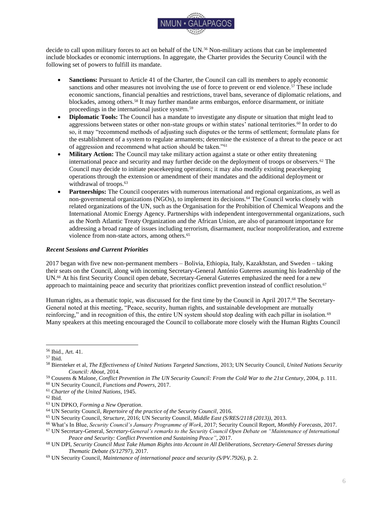

United Nations Framework Convention on Climate Change. (2017, June 7). *Summary of proceedings of the first meeting of the Task Force on Displacement, the Executive Committee of the Warsaw International Mechanism for Loss and Damage*. Retrieved 16 July 2017 from: [http://unfccc.int/files/adaptation/workstreams/loss\\_and\\_damage/application/pdf/tfd\\_1\\_summary\\_of\\_proceedings.pdf](http://unfccc.int/files/adaptation/workstreams/loss_and_damage/application/pdf/tfd_1_summary_of_proceedings.pdf)

United Nations, General Assembly, Third session. (1948). *Universal Declaration of Human Rights (A/RES/217 A (III))*. Retrieved 16 July 2017 from:<http://www.un.org/en/documents/udhr/>

United Nations, General Assembly, Forty-fifth session. (1990). *International Convention on the Protection of the Rights of All Migrant Workers and Members of Their Families (A/RES/45/158).* Adopted on the report of the Third Committee (A/45/838). Retrieved 8 June 2017 from:<http://undocs.org/A/RES/45/158>

United Nations, General Assembly, Sixtieth session. (2005). *2005 World Summit Outcome (A/RES/60/1)*. Retrieved 14 August 2017 from:<http://undocs.org/A/RES/60/1>

United Nations, General Assembly, Sixty-third session. (2009). *Climate change and its possible security implications (A/RES/63/281)* [Resolution]. Retrieved 29 August 2017 from:<http://undocs.org/A/RES/63/281>

United Nations, General Assembly, Sixty-fourth session. (2009). *Climate change and its possible security implications: Report of the Secretary-General (A/64/350). Retrieved 5 June 2017 from:<http://undocs.org/A/64/350>* 

United Nations, General Assembly, Sixty-eighth session. (2014). *Declaration of the High-level Dialogue on International Migration and Development (A/RES/68/4)*. Retrieved 29 August 2017 from: <http://undocs.org/A/RES/68/4>

United Nations, General Assembly, Sixty-ninth session. (2015). *Sendai Framework for Disaster Risk Reduction 2015-2030 (A/RES/69/283)*. Retrieved 8 June 2017 from: [http://undocs.org/A/RES/69/283](http://undocs.org/a/res/69/283)

United Nations, General Assembly, Seventieth session. (2015). *Transforming our world: the 2030 Agenda for Sustainable Development (A/RES/70/1)*. Retrieved 8 June 2017 from: <http://undocs.org/A/RES/70/1>

United Nations, General Assembly, Seventieth session. (2016). *In safety and dignity: Addressing large movements of refugees and migrants: Report of the Secretary-General (A/70/59).* Retrieved 8 June 2017 from: <http://www.undocs.org/A/70/59>

United Nations, General Assembly, Seventy-first session. (2016). *New York Declaration for Refugees and Migrants (A/RES/71/1)*. Retrieved 8 June 2017 from:<http://undocs.org/A/RES/71/1>

United Nations, Security Council, 5261st meeting. (2005). *Threats to international peace and security (Security Council Summit 2005) (S/RES/1625 (2005))* [Resolution]. Retrieved 13 August 2017 from: [http://undocs.org/S/RES/1625\(2005\)](http://undocs.org/S/RES/1625(2005))

United Nations, Security Council, 5663th meeting. (2007, April 17). *Climate change (S/PV.5663)* [Meeting Record]. Retrieved 5 June 2017 from:<http://undocs.org/S/PV.5663>

United Nations, Security Council, 5663th meeting. (2007, April 17). *Climate change (S/PV.5663 (Resumption 1))*  [Meeting Record]. Retrieved 5 June 2017 from: [http://undocs.org/S/PV.5663\(Resumption1\)](http://undocs.org/S/PV.5663(Resumption1))

United Nations, Security Council. (2007). *Letter dated 5 April 2007 from the Permanent Representative of the United Kingdom of Great Britain and Northern Ireland to the United Nations addressed to the President of the Security Council (S/2007/186)*. Retrieved 12 July 2017 from:<http://www.undocs.org/S/2007/186>

United Nations, Security Council, 6587th meeting. (2011). *Maintenance of international peace and security (S/PRST/2011/15)* [Presidential Statement]. Retrieved 5 June 2017 from:<http://undocs.org/S/PRST/2011/15>